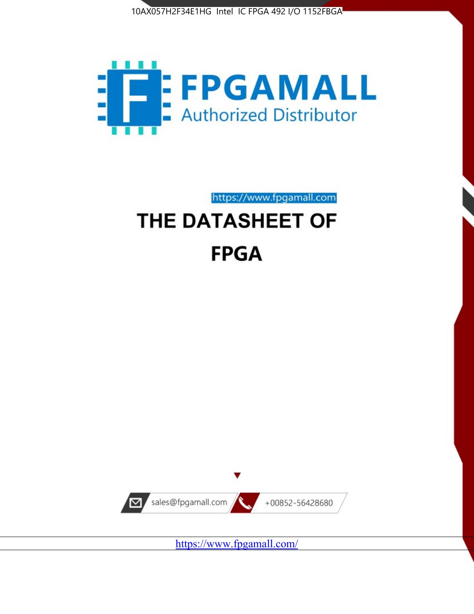



https://www.fpgamall.com THE DATASHEET OF

# **FPGA**



<https://www.fpgamall.com/>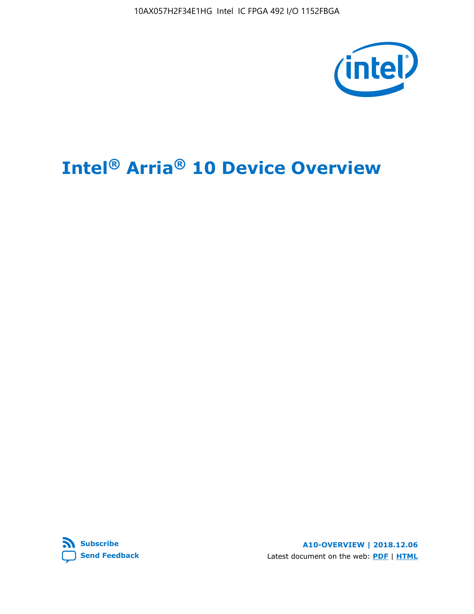10AX057H2F34E1HG Intel IC FPGA 492 I/O 1152FBGA



# **Intel® Arria® 10 Device Overview**



**A10-OVERVIEW | 2018.12.06** Latest document on the web: **[PDF](https://www.intel.com/content/dam/www/programmable/us/en/pdfs/literature/hb/arria-10/a10_overview.pdf)** | **[HTML](https://www.intel.com/content/www/us/en/programmable/documentation/sam1403480274650.html)**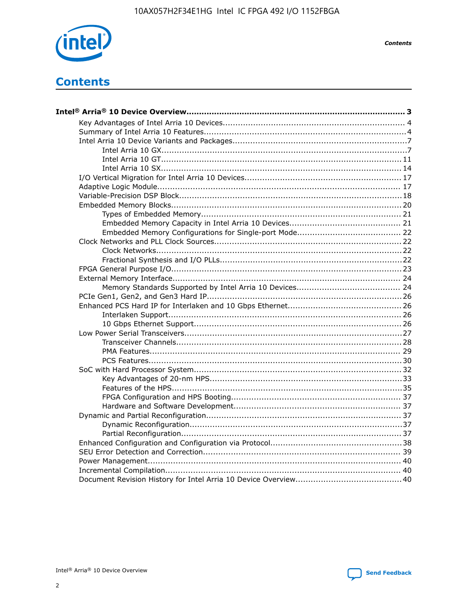

**Contents** 

# **Contents**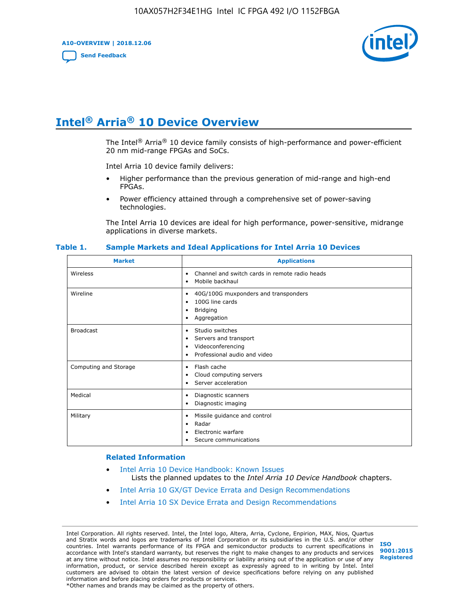**A10-OVERVIEW | 2018.12.06**

**[Send Feedback](mailto:FPGAtechdocfeedback@intel.com?subject=Feedback%20on%20Intel%20Arria%2010%20Device%20Overview%20(A10-OVERVIEW%202018.12.06)&body=We%20appreciate%20your%20feedback.%20In%20your%20comments,%20also%20specify%20the%20page%20number%20or%20paragraph.%20Thank%20you.)**



# **Intel® Arria® 10 Device Overview**

The Intel<sup>®</sup> Arria<sup>®</sup> 10 device family consists of high-performance and power-efficient 20 nm mid-range FPGAs and SoCs.

Intel Arria 10 device family delivers:

- Higher performance than the previous generation of mid-range and high-end FPGAs.
- Power efficiency attained through a comprehensive set of power-saving technologies.

The Intel Arria 10 devices are ideal for high performance, power-sensitive, midrange applications in diverse markets.

| <b>Market</b>         | <b>Applications</b>                                                                                               |
|-----------------------|-------------------------------------------------------------------------------------------------------------------|
| Wireless              | Channel and switch cards in remote radio heads<br>٠<br>Mobile backhaul<br>٠                                       |
| Wireline              | 40G/100G muxponders and transponders<br>٠<br>100G line cards<br>٠<br><b>Bridging</b><br>٠<br>Aggregation<br>٠     |
| <b>Broadcast</b>      | Studio switches<br>٠<br>Servers and transport<br>٠<br>Videoconferencing<br>٠<br>Professional audio and video<br>٠ |
| Computing and Storage | Flash cache<br>٠<br>Cloud computing servers<br>٠<br>Server acceleration<br>٠                                      |
| Medical               | Diagnostic scanners<br>٠<br>Diagnostic imaging<br>٠                                                               |
| Military              | Missile guidance and control<br>٠<br>Radar<br>٠<br>Electronic warfare<br>٠<br>Secure communications<br>٠          |

#### **Table 1. Sample Markets and Ideal Applications for Intel Arria 10 Devices**

#### **Related Information**

- [Intel Arria 10 Device Handbook: Known Issues](http://www.altera.com/support/kdb/solutions/rd07302013_646.html) Lists the planned updates to the *Intel Arria 10 Device Handbook* chapters.
- [Intel Arria 10 GX/GT Device Errata and Design Recommendations](https://www.intel.com/content/www/us/en/programmable/documentation/agz1493851706374.html#yqz1494433888646)
- [Intel Arria 10 SX Device Errata and Design Recommendations](https://www.intel.com/content/www/us/en/programmable/documentation/cru1462832385668.html#cru1462832558642)

Intel Corporation. All rights reserved. Intel, the Intel logo, Altera, Arria, Cyclone, Enpirion, MAX, Nios, Quartus and Stratix words and logos are trademarks of Intel Corporation or its subsidiaries in the U.S. and/or other countries. Intel warrants performance of its FPGA and semiconductor products to current specifications in accordance with Intel's standard warranty, but reserves the right to make changes to any products and services at any time without notice. Intel assumes no responsibility or liability arising out of the application or use of any information, product, or service described herein except as expressly agreed to in writing by Intel. Intel customers are advised to obtain the latest version of device specifications before relying on any published information and before placing orders for products or services. \*Other names and brands may be claimed as the property of others.

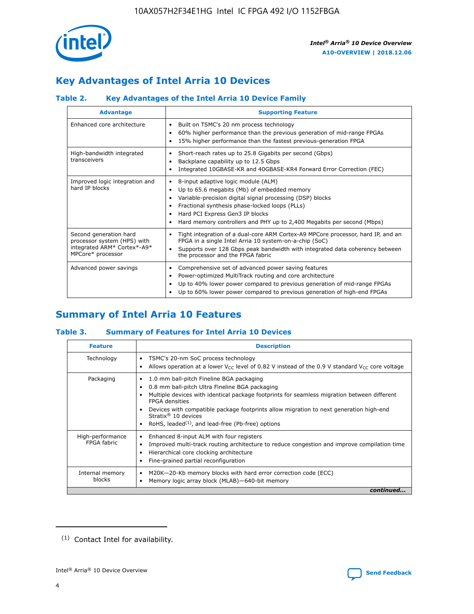

# **Key Advantages of Intel Arria 10 Devices**

## **Table 2. Key Advantages of the Intel Arria 10 Device Family**

| <b>Advantage</b>                                                                                          | <b>Supporting Feature</b>                                                                                                                                                                                                                                                                                                     |
|-----------------------------------------------------------------------------------------------------------|-------------------------------------------------------------------------------------------------------------------------------------------------------------------------------------------------------------------------------------------------------------------------------------------------------------------------------|
| Enhanced core architecture                                                                                | Built on TSMC's 20 nm process technology<br>٠<br>60% higher performance than the previous generation of mid-range FPGAs<br>٠<br>15% higher performance than the fastest previous-generation FPGA<br>٠                                                                                                                         |
| High-bandwidth integrated<br>transceivers                                                                 | Short-reach rates up to 25.8 Gigabits per second (Gbps)<br>٠<br>Backplane capability up to 12.5 Gbps<br>٠<br>Integrated 10GBASE-KR and 40GBASE-KR4 Forward Error Correction (FEC)<br>٠                                                                                                                                        |
| Improved logic integration and<br>hard IP blocks                                                          | 8-input adaptive logic module (ALM)<br>٠<br>Up to 65.6 megabits (Mb) of embedded memory<br>٠<br>Variable-precision digital signal processing (DSP) blocks<br>Fractional synthesis phase-locked loops (PLLs)<br>٠<br>Hard PCI Express Gen3 IP blocks<br>Hard memory controllers and PHY up to 2,400 Megabits per second (Mbps) |
| Second generation hard<br>processor system (HPS) with<br>integrated ARM* Cortex*-A9*<br>MPCore* processor | Tight integration of a dual-core ARM Cortex-A9 MPCore processor, hard IP, and an<br>٠<br>FPGA in a single Intel Arria 10 system-on-a-chip (SoC)<br>Supports over 128 Gbps peak bandwidth with integrated data coherency between<br>$\bullet$<br>the processor and the FPGA fabric                                             |
| Advanced power savings                                                                                    | Comprehensive set of advanced power saving features<br>٠<br>Power-optimized MultiTrack routing and core architecture<br>٠<br>Up to 40% lower power compared to previous generation of mid-range FPGAs<br>٠<br>Up to 60% lower power compared to previous generation of high-end FPGAs<br>٠                                    |

# **Summary of Intel Arria 10 Features**

## **Table 3. Summary of Features for Intel Arria 10 Devices**

| <b>Feature</b>                  | <b>Description</b>                                                                                                                                                                                                                                                                                                                                                                                           |
|---------------------------------|--------------------------------------------------------------------------------------------------------------------------------------------------------------------------------------------------------------------------------------------------------------------------------------------------------------------------------------------------------------------------------------------------------------|
| Technology                      | TSMC's 20-nm SoC process technology<br>٠<br>Allows operation at a lower $V_{CC}$ level of 0.82 V instead of the 0.9 V standard $V_{CC}$ core voltage                                                                                                                                                                                                                                                         |
| Packaging                       | 1.0 mm ball-pitch Fineline BGA packaging<br>٠<br>0.8 mm ball-pitch Ultra Fineline BGA packaging<br>Multiple devices with identical package footprints for seamless migration between different<br><b>FPGA</b> densities<br>Devices with compatible package footprints allow migration to next generation high-end<br>Stratix <sup>®</sup> 10 devices<br>RoHS, leaded $(1)$ , and lead-free (Pb-free) options |
| High-performance<br>FPGA fabric | Enhanced 8-input ALM with four registers<br>Improved multi-track routing architecture to reduce congestion and improve compilation time<br>Hierarchical core clocking architecture<br>Fine-grained partial reconfiguration                                                                                                                                                                                   |
| Internal memory<br>blocks       | M20K-20-Kb memory blocks with hard error correction code (ECC)<br>٠<br>Memory logic array block (MLAB)-640-bit memory                                                                                                                                                                                                                                                                                        |
|                                 | continued                                                                                                                                                                                                                                                                                                                                                                                                    |



<sup>(1)</sup> Contact Intel for availability.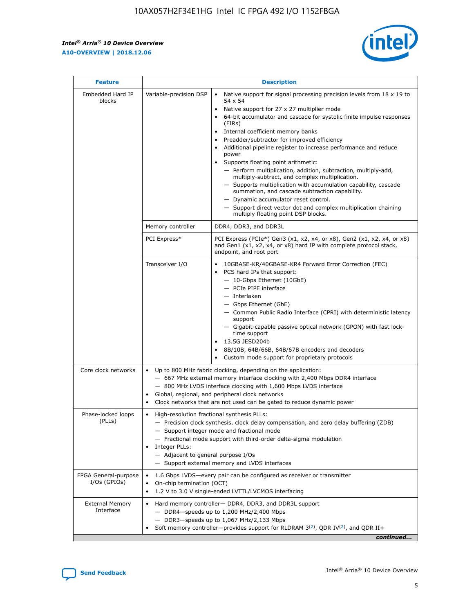$\mathbf{r}$ 



| <b>Feature</b>                         |                                                                                                                | <b>Description</b>                                                                                                                                                                                                                                                                                                                                                                                                                                                                                                                                                                                                                                                                                                                                                                                                                                               |  |  |  |  |  |  |  |
|----------------------------------------|----------------------------------------------------------------------------------------------------------------|------------------------------------------------------------------------------------------------------------------------------------------------------------------------------------------------------------------------------------------------------------------------------------------------------------------------------------------------------------------------------------------------------------------------------------------------------------------------------------------------------------------------------------------------------------------------------------------------------------------------------------------------------------------------------------------------------------------------------------------------------------------------------------------------------------------------------------------------------------------|--|--|--|--|--|--|--|
| Embedded Hard IP<br>blocks             | Variable-precision DSP                                                                                         | Native support for signal processing precision levels from $18 \times 19$ to<br>$\bullet$<br>54 x 54<br>Native support for 27 x 27 multiplier mode<br>$\bullet$<br>64-bit accumulator and cascade for systolic finite impulse responses<br>(FIRs)<br>Internal coefficient memory banks<br>$\bullet$<br>Preadder/subtractor for improved efficiency<br>Additional pipeline register to increase performance and reduce<br>power<br>Supports floating point arithmetic:<br>- Perform multiplication, addition, subtraction, multiply-add,<br>multiply-subtract, and complex multiplication.<br>- Supports multiplication with accumulation capability, cascade<br>summation, and cascade subtraction capability.<br>- Dynamic accumulator reset control.<br>- Support direct vector dot and complex multiplication chaining<br>multiply floating point DSP blocks. |  |  |  |  |  |  |  |
|                                        | Memory controller                                                                                              | DDR4, DDR3, and DDR3L                                                                                                                                                                                                                                                                                                                                                                                                                                                                                                                                                                                                                                                                                                                                                                                                                                            |  |  |  |  |  |  |  |
|                                        | PCI Express*                                                                                                   | PCI Express (PCIe*) Gen3 (x1, x2, x4, or x8), Gen2 (x1, x2, x4, or x8)<br>and Gen1 (x1, x2, x4, or x8) hard IP with complete protocol stack,<br>endpoint, and root port                                                                                                                                                                                                                                                                                                                                                                                                                                                                                                                                                                                                                                                                                          |  |  |  |  |  |  |  |
|                                        | Transceiver I/O                                                                                                | 10GBASE-KR/40GBASE-KR4 Forward Error Correction (FEC)<br>PCS hard IPs that support:<br>- 10-Gbps Ethernet (10GbE)<br>- PCIe PIPE interface<br>- Interlaken<br>- Gbps Ethernet (GbE)<br>- Common Public Radio Interface (CPRI) with deterministic latency<br>support<br>- Gigabit-capable passive optical network (GPON) with fast lock-<br>time support<br>13.5G JESD204b<br>$\bullet$<br>8B/10B, 64B/66B, 64B/67B encoders and decoders<br>Custom mode support for proprietary protocols                                                                                                                                                                                                                                                                                                                                                                        |  |  |  |  |  |  |  |
| Core clock networks                    | $\bullet$                                                                                                      | Up to 800 MHz fabric clocking, depending on the application:<br>- 667 MHz external memory interface clocking with 2,400 Mbps DDR4 interface<br>- 800 MHz LVDS interface clocking with 1,600 Mbps LVDS interface<br>Global, regional, and peripheral clock networks<br>Clock networks that are not used can be gated to reduce dynamic power                                                                                                                                                                                                                                                                                                                                                                                                                                                                                                                      |  |  |  |  |  |  |  |
| Phase-locked loops<br>(PLLs)           | High-resolution fractional synthesis PLLs:<br>$\bullet$<br>Integer PLLs:<br>- Adjacent to general purpose I/Os | - Precision clock synthesis, clock delay compensation, and zero delay buffering (ZDB)<br>- Support integer mode and fractional mode<br>- Fractional mode support with third-order delta-sigma modulation<br>- Support external memory and LVDS interfaces                                                                                                                                                                                                                                                                                                                                                                                                                                                                                                                                                                                                        |  |  |  |  |  |  |  |
| FPGA General-purpose<br>$I/Os$ (GPIOs) | On-chip termination (OCT)<br>$\bullet$                                                                         | 1.6 Gbps LVDS-every pair can be configured as receiver or transmitter<br>1.2 V to 3.0 V single-ended LVTTL/LVCMOS interfacing                                                                                                                                                                                                                                                                                                                                                                                                                                                                                                                                                                                                                                                                                                                                    |  |  |  |  |  |  |  |
| <b>External Memory</b><br>Interface    | $\bullet$                                                                                                      | Hard memory controller- DDR4, DDR3, and DDR3L support<br>$-$ DDR4-speeds up to 1,200 MHz/2,400 Mbps<br>- DDR3-speeds up to 1,067 MHz/2,133 Mbps<br>Soft memory controller—provides support for RLDRAM $3^{(2)}$ , QDR IV $^{(2)}$ , and QDR II+<br>continued                                                                                                                                                                                                                                                                                                                                                                                                                                                                                                                                                                                                     |  |  |  |  |  |  |  |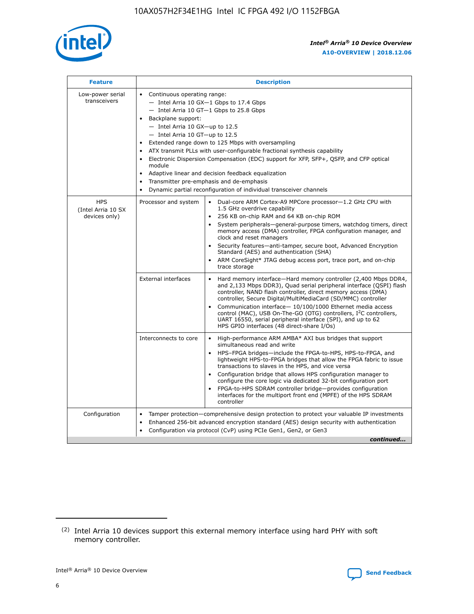

| <b>Feature</b>                                    | <b>Description</b>                                                                                                                                                                                                                                                                                                                                                                                                                                                                                                                                                                                                                                      |
|---------------------------------------------------|---------------------------------------------------------------------------------------------------------------------------------------------------------------------------------------------------------------------------------------------------------------------------------------------------------------------------------------------------------------------------------------------------------------------------------------------------------------------------------------------------------------------------------------------------------------------------------------------------------------------------------------------------------|
| Low-power serial<br>transceivers                  | • Continuous operating range:<br>- Intel Arria 10 GX-1 Gbps to 17.4 Gbps<br>- Intel Arria 10 GT-1 Gbps to 25.8 Gbps<br>Backplane support:<br>$-$ Intel Arria 10 GX-up to 12.5<br>$-$ Intel Arria 10 GT-up to 12.5<br>Extended range down to 125 Mbps with oversampling<br>ATX transmit PLLs with user-configurable fractional synthesis capability<br>Electronic Dispersion Compensation (EDC) support for XFP, SFP+, QSFP, and CFP optical<br>module<br>Adaptive linear and decision feedback equalization<br>$\bullet$<br>Transmitter pre-emphasis and de-emphasis<br>$\bullet$<br>Dynamic partial reconfiguration of individual transceiver channels |
| <b>HPS</b><br>(Intel Arria 10 SX<br>devices only) | • Dual-core ARM Cortex-A9 MPCore processor-1.2 GHz CPU with<br>Processor and system<br>1.5 GHz overdrive capability<br>256 KB on-chip RAM and 64 KB on-chip ROM<br>$\bullet$<br>System peripherals—general-purpose timers, watchdog timers, direct<br>memory access (DMA) controller, FPGA configuration manager, and<br>clock and reset managers<br>Security features—anti-tamper, secure boot, Advanced Encryption<br>$\bullet$<br>Standard (AES) and authentication (SHA)<br>ARM CoreSight* JTAG debug access port, trace port, and on-chip<br>$\bullet$<br>trace storage                                                                            |
|                                                   | <b>External interfaces</b><br>Hard memory interface-Hard memory controller (2,400 Mbps DDR4,<br>$\bullet$<br>and 2,133 Mbps DDR3), Quad serial peripheral interface (QSPI) flash<br>controller, NAND flash controller, direct memory access (DMA)<br>controller, Secure Digital/MultiMediaCard (SD/MMC) controller<br>Communication interface-10/100/1000 Ethernet media access<br>$\bullet$<br>control (MAC), USB On-The-GO (OTG) controllers, I <sup>2</sup> C controllers,<br>UART 16550, serial peripheral interface (SPI), and up to 62<br>HPS GPIO interfaces (48 direct-share I/Os)                                                              |
|                                                   | High-performance ARM AMBA* AXI bus bridges that support<br>Interconnects to core<br>$\bullet$<br>simultaneous read and write<br>HPS-FPGA bridges-include the FPGA-to-HPS, HPS-to-FPGA, and<br>$\bullet$<br>lightweight HPS-to-FPGA bridges that allow the FPGA fabric to issue<br>transactions to slaves in the HPS, and vice versa<br>Configuration bridge that allows HPS configuration manager to<br>configure the core logic via dedicated 32-bit configuration port<br>FPGA-to-HPS SDRAM controller bridge-provides configuration<br>interfaces for the multiport front end (MPFE) of the HPS SDRAM<br>controller                                  |
| Configuration                                     | Tamper protection—comprehensive design protection to protect your valuable IP investments<br>Enhanced 256-bit advanced encryption standard (AES) design security with authentication<br>٠<br>Configuration via protocol (CvP) using PCIe Gen1, Gen2, or Gen3<br>continued                                                                                                                                                                                                                                                                                                                                                                               |

<sup>(2)</sup> Intel Arria 10 devices support this external memory interface using hard PHY with soft memory controller.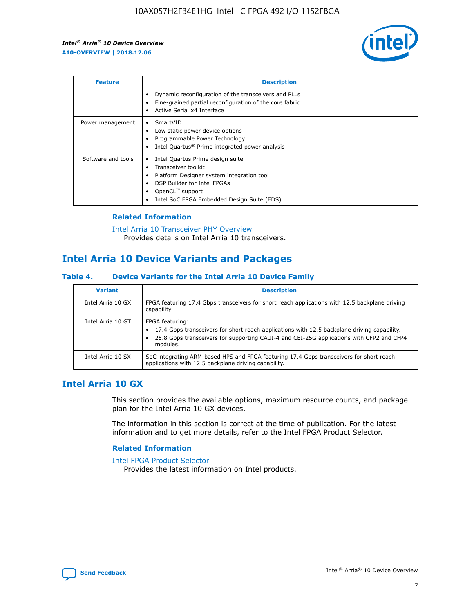

| <b>Feature</b>     | <b>Description</b>                                                                                                                                                                                               |
|--------------------|------------------------------------------------------------------------------------------------------------------------------------------------------------------------------------------------------------------|
|                    | Dynamic reconfiguration of the transceivers and PLLs<br>Fine-grained partial reconfiguration of the core fabric<br>Active Serial x4 Interface<br>$\bullet$                                                       |
| Power management   | SmartVID<br>Low static power device options<br>Programmable Power Technology<br>Intel Quartus <sup>®</sup> Prime integrated power analysis                                                                       |
| Software and tools | Intel Quartus Prime design suite<br>Transceiver toolkit<br>Platform Designer system integration tool<br>DSP Builder for Intel FPGAs<br>OpenCL <sup>™</sup> support<br>Intel SoC FPGA Embedded Design Suite (EDS) |

## **Related Information**

[Intel Arria 10 Transceiver PHY Overview](https://www.intel.com/content/www/us/en/programmable/documentation/nik1398707230472.html#nik1398706768037) Provides details on Intel Arria 10 transceivers.

## **Intel Arria 10 Device Variants and Packages**

#### **Table 4. Device Variants for the Intel Arria 10 Device Family**

| <b>Variant</b>    | <b>Description</b>                                                                                                                                                                                                     |
|-------------------|------------------------------------------------------------------------------------------------------------------------------------------------------------------------------------------------------------------------|
| Intel Arria 10 GX | FPGA featuring 17.4 Gbps transceivers for short reach applications with 12.5 backplane driving<br>capability.                                                                                                          |
| Intel Arria 10 GT | FPGA featuring:<br>17.4 Gbps transceivers for short reach applications with 12.5 backplane driving capability.<br>25.8 Gbps transceivers for supporting CAUI-4 and CEI-25G applications with CFP2 and CFP4<br>modules. |
| Intel Arria 10 SX | SoC integrating ARM-based HPS and FPGA featuring 17.4 Gbps transceivers for short reach<br>applications with 12.5 backplane driving capability.                                                                        |

## **Intel Arria 10 GX**

This section provides the available options, maximum resource counts, and package plan for the Intel Arria 10 GX devices.

The information in this section is correct at the time of publication. For the latest information and to get more details, refer to the Intel FPGA Product Selector.

#### **Related Information**

#### [Intel FPGA Product Selector](http://www.altera.com/products/selector/psg-selector.html) Provides the latest information on Intel products.

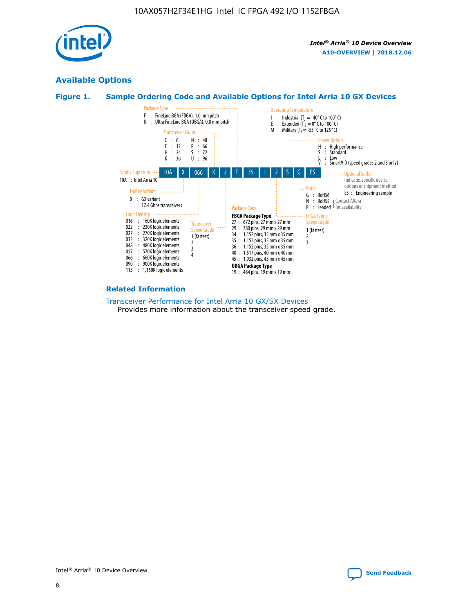

## **Available Options**





#### **Related Information**

[Transceiver Performance for Intel Arria 10 GX/SX Devices](https://www.intel.com/content/www/us/en/programmable/documentation/mcn1413182292568.html#mcn1413213965502) Provides more information about the transceiver speed grade.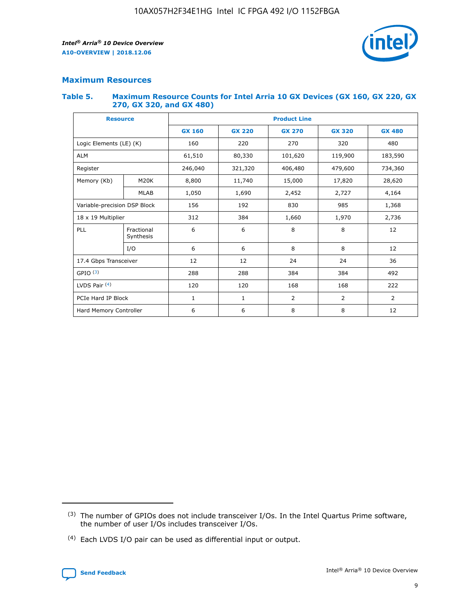

## **Maximum Resources**

#### **Table 5. Maximum Resource Counts for Intel Arria 10 GX Devices (GX 160, GX 220, GX 270, GX 320, and GX 480)**

| <b>Resource</b>              |                         | <b>Product Line</b> |                                                 |                |                  |               |  |  |  |
|------------------------------|-------------------------|---------------------|-------------------------------------------------|----------------|------------------|---------------|--|--|--|
|                              |                         | <b>GX 160</b>       | <b>GX 220</b><br><b>GX 270</b><br><b>GX 320</b> |                |                  | <b>GX 480</b> |  |  |  |
| Logic Elements (LE) (K)      |                         | 160                 | 220                                             | 270            | 320              | 480           |  |  |  |
| <b>ALM</b>                   |                         | 61,510              | 80,330                                          | 101,620        | 119,900          | 183,590       |  |  |  |
| Register                     |                         | 246,040             | 321,320<br>406,480                              |                | 479,600          | 734,360       |  |  |  |
| Memory (Kb)                  | M <sub>20</sub> K       | 8,800               | 11,740                                          | 15,000         | 17,820<br>28,620 |               |  |  |  |
|                              | <b>MLAB</b>             | 1,050               | 1,690                                           | 2,452          | 2,727            | 4,164         |  |  |  |
| Variable-precision DSP Block |                         | 156                 | 192<br>830<br>985                               |                |                  | 1,368         |  |  |  |
| 18 x 19 Multiplier           |                         | 312                 | 384                                             | 1,970<br>1,660 |                  | 2,736         |  |  |  |
| PLL                          | Fractional<br>Synthesis | 6                   | 6                                               | 8              | 8                | 12            |  |  |  |
|                              | I/O                     | 6                   | 6                                               | 8              | 8                | 12            |  |  |  |
| 17.4 Gbps Transceiver        |                         | 12                  | 12                                              | 24             | 24               | 36            |  |  |  |
| GPIO <sup>(3)</sup>          |                         | 288                 | 288<br>384<br>384                               |                |                  | 492           |  |  |  |
| LVDS Pair $(4)$              |                         | 120                 | 120                                             | 168            | 168              | 222           |  |  |  |
| PCIe Hard IP Block           |                         | 1                   | 1                                               | $\overline{2}$ | $\overline{2}$   | 2             |  |  |  |
| Hard Memory Controller       |                         | 6                   | 6                                               | 8              | 8                | 12            |  |  |  |

<sup>(4)</sup> Each LVDS I/O pair can be used as differential input or output.



<sup>(3)</sup> The number of GPIOs does not include transceiver I/Os. In the Intel Quartus Prime software, the number of user I/Os includes transceiver I/Os.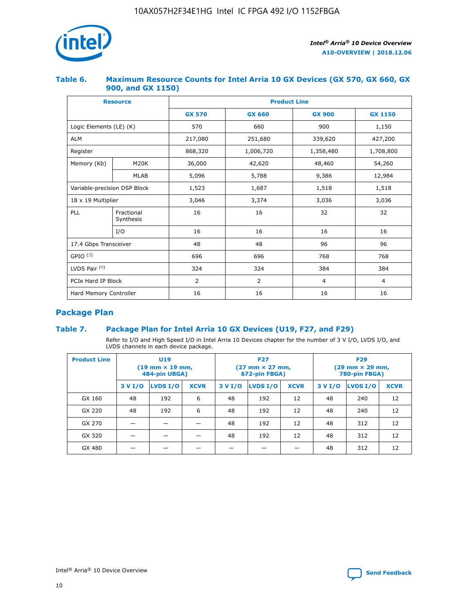

## **Table 6. Maximum Resource Counts for Intel Arria 10 GX Devices (GX 570, GX 660, GX 900, and GX 1150)**

|                              | <b>Resource</b>         | <b>Product Line</b> |                |                |                |  |  |  |  |
|------------------------------|-------------------------|---------------------|----------------|----------------|----------------|--|--|--|--|
|                              |                         | <b>GX 570</b>       | <b>GX 660</b>  | <b>GX 900</b>  | <b>GX 1150</b> |  |  |  |  |
| Logic Elements (LE) (K)      |                         | 570                 | 660            | 900            | 1,150          |  |  |  |  |
| <b>ALM</b>                   |                         | 217,080             | 251,680        | 339,620        | 427,200        |  |  |  |  |
| Register                     |                         | 868,320             | 1,006,720      | 1,358,480      | 1,708,800      |  |  |  |  |
| Memory (Kb)                  | <b>M20K</b>             | 36,000              | 42,620         | 48,460         | 54,260         |  |  |  |  |
|                              | <b>MLAB</b>             | 5,096               | 5,788          | 9,386          | 12,984         |  |  |  |  |
| Variable-precision DSP Block |                         | 1,523               | 1,687          | 1,518          | 1,518          |  |  |  |  |
| $18 \times 19$ Multiplier    |                         | 3,046               | 3,374          | 3,036          | 3,036          |  |  |  |  |
| PLL                          | Fractional<br>Synthesis | 16                  | 16             | 32             | 32             |  |  |  |  |
|                              | I/O                     | 16                  | 16             | 16             | 16             |  |  |  |  |
| 17.4 Gbps Transceiver        |                         | 48                  | 48             | 96             | 96             |  |  |  |  |
| GPIO <sup>(3)</sup>          |                         | 696                 | 696            | 768            | 768            |  |  |  |  |
| LVDS Pair $(4)$              |                         | 324                 | 324            | 384            | 384            |  |  |  |  |
| PCIe Hard IP Block           |                         | 2                   | $\overline{2}$ | $\overline{4}$ | 4              |  |  |  |  |
| Hard Memory Controller       |                         | 16                  | 16             | 16             | 16             |  |  |  |  |

## **Package Plan**

## **Table 7. Package Plan for Intel Arria 10 GX Devices (U19, F27, and F29)**

Refer to I/O and High Speed I/O in Intel Arria 10 Devices chapter for the number of 3 V I/O, LVDS I/O, and LVDS channels in each device package.

| <b>Product Line</b> | U <sub>19</sub><br>$(19 \text{ mm} \times 19 \text{ mm})$<br>484-pin UBGA) |          |             |         | <b>F27</b><br>(27 mm × 27 mm,<br>672-pin FBGA) |             | <b>F29</b><br>(29 mm × 29 mm,<br>780-pin FBGA) |          |             |  |
|---------------------|----------------------------------------------------------------------------|----------|-------------|---------|------------------------------------------------|-------------|------------------------------------------------|----------|-------------|--|
|                     | 3 V I/O                                                                    | LVDS I/O | <b>XCVR</b> | 3 V I/O | <b>LVDS I/O</b>                                | <b>XCVR</b> | 3 V I/O                                        | LVDS I/O | <b>XCVR</b> |  |
| GX 160              | 48                                                                         | 192      | 6           | 48      | 192                                            | 12          | 48                                             | 240      | 12          |  |
| GX 220              | 48                                                                         | 192      | 6           | 48      | 192                                            | 12          | 48                                             | 240      | 12          |  |
| GX 270              |                                                                            |          |             | 48      | 192                                            | 12          | 48                                             | 312      | 12          |  |
| GX 320              |                                                                            |          |             | 48      | 192                                            | 12          | 48                                             | 312      | 12          |  |
| GX 480              |                                                                            |          |             |         |                                                |             | 48                                             | 312      | 12          |  |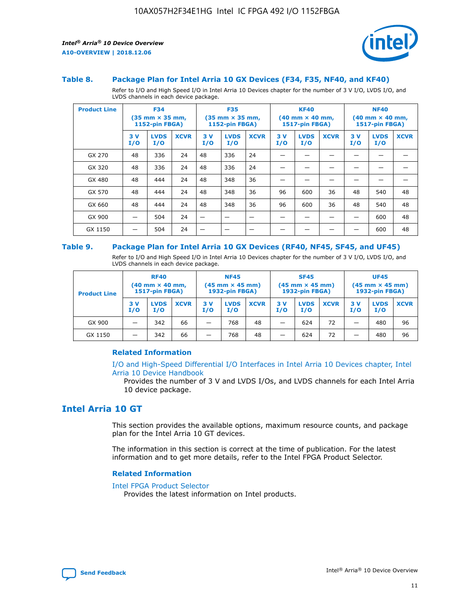



#### **Table 8. Package Plan for Intel Arria 10 GX Devices (F34, F35, NF40, and KF40)**

Refer to I/O and High Speed I/O in Intel Arria 10 Devices chapter for the number of 3 V I/O, LVDS I/O, and LVDS channels in each device package.

| <b>Product Line</b> | <b>F34</b><br>$(35 \text{ mm} \times 35 \text{ mm})$<br>1152-pin FBGA) |                    | <b>F35</b><br>$(35 \text{ mm} \times 35 \text{ mm})$<br><b>1152-pin FBGA)</b> |           | <b>KF40</b><br>$(40$ mm $\times$ 40 mm,<br>1517-pin FBGA) |             |           | <b>NF40</b><br>$(40$ mm $\times$ 40 mm,<br><b>1517-pin FBGA)</b> |             |            |                    |             |
|---------------------|------------------------------------------------------------------------|--------------------|-------------------------------------------------------------------------------|-----------|-----------------------------------------------------------|-------------|-----------|------------------------------------------------------------------|-------------|------------|--------------------|-------------|
|                     | 3V<br>I/O                                                              | <b>LVDS</b><br>I/O | <b>XCVR</b>                                                                   | 3V<br>I/O | <b>LVDS</b><br>I/O                                        | <b>XCVR</b> | 3V<br>I/O | <b>LVDS</b><br>I/O                                               | <b>XCVR</b> | 3 V<br>I/O | <b>LVDS</b><br>I/O | <b>XCVR</b> |
| GX 270              | 48                                                                     | 336                | 24                                                                            | 48        | 336                                                       | 24          |           |                                                                  |             |            |                    |             |
| GX 320              | 48                                                                     | 336                | 24                                                                            | 48        | 336                                                       | 24          |           |                                                                  |             |            |                    |             |
| GX 480              | 48                                                                     | 444                | 24                                                                            | 48        | 348                                                       | 36          |           |                                                                  |             |            |                    |             |
| GX 570              | 48                                                                     | 444                | 24                                                                            | 48        | 348                                                       | 36          | 96        | 600                                                              | 36          | 48         | 540                | 48          |
| GX 660              | 48                                                                     | 444                | 24                                                                            | 48        | 348                                                       | 36          | 96        | 600                                                              | 36          | 48         | 540                | 48          |
| GX 900              |                                                                        | 504                | 24                                                                            | -         |                                                           |             |           |                                                                  |             |            | 600                | 48          |
| GX 1150             |                                                                        | 504                | 24                                                                            |           |                                                           |             |           |                                                                  |             |            | 600                | 48          |

#### **Table 9. Package Plan for Intel Arria 10 GX Devices (RF40, NF45, SF45, and UF45)**

Refer to I/O and High Speed I/O in Intel Arria 10 Devices chapter for the number of 3 V I/O, LVDS I/O, and LVDS channels in each device package.

| <b>Product Line</b> | <b>RF40</b><br>$(40$ mm $\times$ 40 mm,<br>1517-pin FBGA) |                    |             | <b>NF45</b><br>$(45 \text{ mm} \times 45 \text{ mm})$<br><b>1932-pin FBGA)</b> |                    |             | <b>SF45</b><br>$(45 \text{ mm} \times 45 \text{ mm})$<br><b>1932-pin FBGA)</b> |                    |             | <b>UF45</b><br>$(45 \text{ mm} \times 45 \text{ mm})$<br><b>1932-pin FBGA)</b> |                    |             |
|---------------------|-----------------------------------------------------------|--------------------|-------------|--------------------------------------------------------------------------------|--------------------|-------------|--------------------------------------------------------------------------------|--------------------|-------------|--------------------------------------------------------------------------------|--------------------|-------------|
|                     | 3V<br>I/O                                                 | <b>LVDS</b><br>I/O | <b>XCVR</b> | 3 V<br>I/O                                                                     | <b>LVDS</b><br>I/O | <b>XCVR</b> | 3 V<br>I/O                                                                     | <b>LVDS</b><br>I/O | <b>XCVR</b> | 3V<br>I/O                                                                      | <b>LVDS</b><br>I/O | <b>XCVR</b> |
| GX 900              |                                                           | 342                | 66          | _                                                                              | 768                | 48          |                                                                                | 624                | 72          |                                                                                | 480                | 96          |
| GX 1150             |                                                           | 342                | 66          | _                                                                              | 768                | 48          |                                                                                | 624                | 72          |                                                                                | 480                | 96          |

#### **Related Information**

[I/O and High-Speed Differential I/O Interfaces in Intel Arria 10 Devices chapter, Intel](https://www.intel.com/content/www/us/en/programmable/documentation/sam1403482614086.html#sam1403482030321) [Arria 10 Device Handbook](https://www.intel.com/content/www/us/en/programmable/documentation/sam1403482614086.html#sam1403482030321)

Provides the number of 3 V and LVDS I/Os, and LVDS channels for each Intel Arria 10 device package.

## **Intel Arria 10 GT**

This section provides the available options, maximum resource counts, and package plan for the Intel Arria 10 GT devices.

The information in this section is correct at the time of publication. For the latest information and to get more details, refer to the Intel FPGA Product Selector.

#### **Related Information**

#### [Intel FPGA Product Selector](http://www.altera.com/products/selector/psg-selector.html)

Provides the latest information on Intel products.

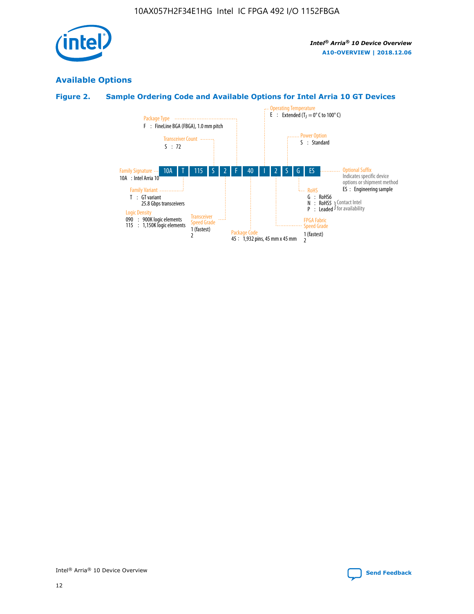

# **Available Options**

## **Figure 2. Sample Ordering Code and Available Options for Intel Arria 10 GT Devices**

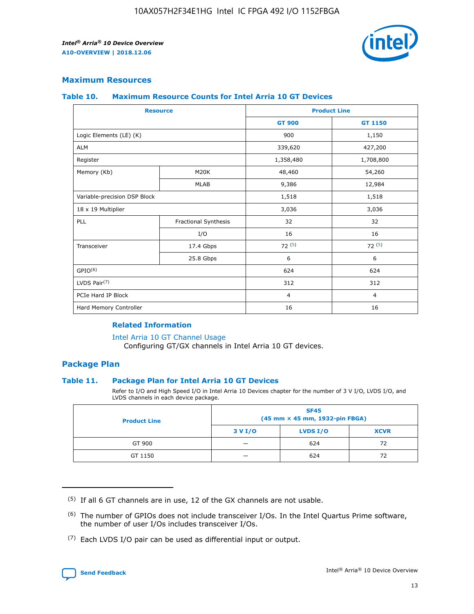

## **Maximum Resources**

#### **Table 10. Maximum Resource Counts for Intel Arria 10 GT Devices**

|                              | <b>Resource</b>      | <b>Product Line</b> |                |  |
|------------------------------|----------------------|---------------------|----------------|--|
|                              |                      | <b>GT 900</b>       | GT 1150        |  |
| Logic Elements (LE) (K)      |                      | 900                 | 1,150          |  |
| <b>ALM</b>                   |                      | 339,620             | 427,200        |  |
| Register                     |                      | 1,358,480           | 1,708,800      |  |
| Memory (Kb)                  | M20K                 | 48,460              | 54,260         |  |
|                              | <b>MLAB</b>          | 9,386               | 12,984         |  |
| Variable-precision DSP Block |                      | 1,518               | 1,518          |  |
| 18 x 19 Multiplier           |                      | 3,036               | 3,036          |  |
| PLL                          | Fractional Synthesis | 32                  | 32             |  |
|                              | I/O                  | 16                  | 16             |  |
| Transceiver                  | 17.4 Gbps            | 72(5)               | 72(5)          |  |
|                              | 25.8 Gbps            | 6                   | 6              |  |
| GPIO <sup>(6)</sup>          |                      | 624                 | 624            |  |
| LVDS Pair $(7)$              |                      | 312                 | 312            |  |
| PCIe Hard IP Block           |                      | $\overline{4}$      | $\overline{4}$ |  |
| Hard Memory Controller       |                      | 16                  | 16             |  |

#### **Related Information**

#### [Intel Arria 10 GT Channel Usage](https://www.intel.com/content/www/us/en/programmable/documentation/nik1398707230472.html#nik1398707008178)

Configuring GT/GX channels in Intel Arria 10 GT devices.

## **Package Plan**

#### **Table 11. Package Plan for Intel Arria 10 GT Devices**

Refer to I/O and High Speed I/O in Intel Arria 10 Devices chapter for the number of 3 V I/O, LVDS I/O, and LVDS channels in each device package.

| <b>Product Line</b> | <b>SF45</b><br>(45 mm × 45 mm, 1932-pin FBGA) |                 |             |  |  |  |
|---------------------|-----------------------------------------------|-----------------|-------------|--|--|--|
|                     | 3 V I/O                                       | <b>LVDS I/O</b> | <b>XCVR</b> |  |  |  |
| GT 900              |                                               | 624             | 72          |  |  |  |
| GT 1150             |                                               | 624             | 72          |  |  |  |

<sup>(7)</sup> Each LVDS I/O pair can be used as differential input or output.



 $(5)$  If all 6 GT channels are in use, 12 of the GX channels are not usable.

<sup>(6)</sup> The number of GPIOs does not include transceiver I/Os. In the Intel Quartus Prime software, the number of user I/Os includes transceiver I/Os.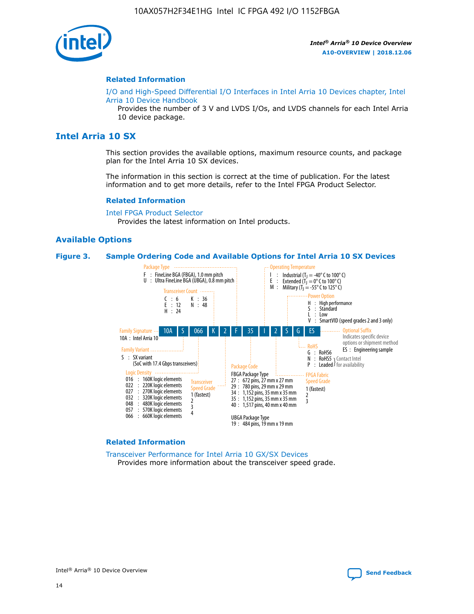

#### **Related Information**

[I/O and High-Speed Differential I/O Interfaces in Intel Arria 10 Devices chapter, Intel](https://www.intel.com/content/www/us/en/programmable/documentation/sam1403482614086.html#sam1403482030321) [Arria 10 Device Handbook](https://www.intel.com/content/www/us/en/programmable/documentation/sam1403482614086.html#sam1403482030321)

Provides the number of 3 V and LVDS I/Os, and LVDS channels for each Intel Arria 10 device package.

## **Intel Arria 10 SX**

This section provides the available options, maximum resource counts, and package plan for the Intel Arria 10 SX devices.

The information in this section is correct at the time of publication. For the latest information and to get more details, refer to the Intel FPGA Product Selector.

#### **Related Information**

[Intel FPGA Product Selector](http://www.altera.com/products/selector/psg-selector.html) Provides the latest information on Intel products.

#### **Available Options**

#### **Figure 3. Sample Ordering Code and Available Options for Intel Arria 10 SX Devices**



#### **Related Information**

[Transceiver Performance for Intel Arria 10 GX/SX Devices](https://www.intel.com/content/www/us/en/programmable/documentation/mcn1413182292568.html#mcn1413213965502) Provides more information about the transceiver speed grade.



Intel® Arria® 10 Device Overview **[Send Feedback](mailto:FPGAtechdocfeedback@intel.com?subject=Feedback%20on%20Intel%20Arria%2010%20Device%20Overview%20(A10-OVERVIEW%202018.12.06)&body=We%20appreciate%20your%20feedback.%20In%20your%20comments,%20also%20specify%20the%20page%20number%20or%20paragraph.%20Thank%20you.)**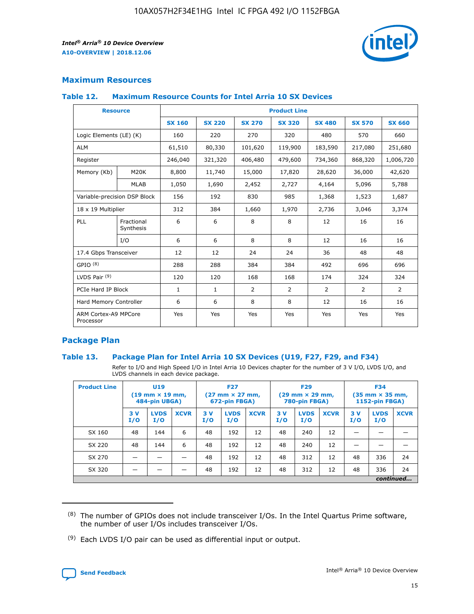

## **Maximum Resources**

#### **Table 12. Maximum Resource Counts for Intel Arria 10 SX Devices**

|                                   | <b>Resource</b>         | <b>Product Line</b> |               |                |                |                |                |                |  |  |  |
|-----------------------------------|-------------------------|---------------------|---------------|----------------|----------------|----------------|----------------|----------------|--|--|--|
|                                   |                         | <b>SX 160</b>       | <b>SX 220</b> | <b>SX 270</b>  | <b>SX 320</b>  | <b>SX 480</b>  | <b>SX 570</b>  | <b>SX 660</b>  |  |  |  |
| Logic Elements (LE) (K)           |                         | 160                 | 220           | 270            | 320            | 480            | 570            | 660            |  |  |  |
| <b>ALM</b>                        |                         | 61,510              | 80,330        | 101,620        | 119,900        | 183,590        | 217,080        | 251,680        |  |  |  |
| Register                          |                         | 246,040             | 321,320       | 406,480        | 479,600        | 734,360        | 868,320        | 1,006,720      |  |  |  |
| Memory (Kb)                       | M <sub>20</sub> K       | 8,800               | 11,740        | 15,000         | 17,820         | 28,620         | 36,000         | 42,620         |  |  |  |
|                                   | <b>MLAB</b>             | 1,050               | 1,690         | 2,452          | 2,727          | 4,164          | 5,096          | 5,788          |  |  |  |
| Variable-precision DSP Block      |                         | 156                 | 192           | 830            | 985            | 1,368          | 1,523          | 1,687          |  |  |  |
|                                   | 18 x 19 Multiplier      |                     | 384           | 1,660          | 1,970          | 2,736          | 3,046          | 3,374          |  |  |  |
| <b>PLL</b>                        | Fractional<br>Synthesis | 6                   | 6             | 8              | 8              | 12             | 16             | 16             |  |  |  |
|                                   | I/O                     | 6                   | 6             | 8              | 8              | 12             | 16             | 16             |  |  |  |
| 17.4 Gbps Transceiver             |                         | 12                  | 12            | 24             | 24             | 36             | 48             | 48             |  |  |  |
| GPIO <sup>(8)</sup>               |                         | 288                 | 288           | 384            | 384            | 492            | 696            | 696            |  |  |  |
| LVDS Pair $(9)$                   |                         | 120                 | 120           | 168            | 168            | 174            | 324            | 324            |  |  |  |
| PCIe Hard IP Block                |                         | $\mathbf{1}$        | $\mathbf{1}$  | $\overline{2}$ | $\overline{2}$ | $\overline{2}$ | $\overline{2}$ | $\overline{2}$ |  |  |  |
| Hard Memory Controller            |                         | 6                   | 6             | 8              | 8              | 12             | 16             | 16             |  |  |  |
| ARM Cortex-A9 MPCore<br>Processor |                         | Yes                 | Yes           | Yes            | Yes            | Yes            | Yes            | Yes            |  |  |  |

## **Package Plan**

#### **Table 13. Package Plan for Intel Arria 10 SX Devices (U19, F27, F29, and F34)**

Refer to I/O and High Speed I/O in Intel Arria 10 Devices chapter for the number of 3 V I/O, LVDS I/O, and LVDS channels in each device package.

| <b>Product Line</b> | U19<br>$(19 \text{ mm} \times 19 \text{ mm})$<br>484-pin UBGA) |                    |             | <b>F27</b><br>$(27 \text{ mm} \times 27 \text{ mm})$ .<br>672-pin FBGA) |                    | <b>F29</b><br>$(29 \text{ mm} \times 29 \text{ mm})$ .<br>780-pin FBGA) |            |                    | <b>F34</b><br>$(35 \text{ mm} \times 35 \text{ mm})$<br><b>1152-pin FBGA)</b> |           |                    |             |
|---------------------|----------------------------------------------------------------|--------------------|-------------|-------------------------------------------------------------------------|--------------------|-------------------------------------------------------------------------|------------|--------------------|-------------------------------------------------------------------------------|-----------|--------------------|-------------|
|                     | 3V<br>I/O                                                      | <b>LVDS</b><br>I/O | <b>XCVR</b> | 3V<br>I/O                                                               | <b>LVDS</b><br>I/O | <b>XCVR</b>                                                             | 3 V<br>I/O | <b>LVDS</b><br>I/O | <b>XCVR</b>                                                                   | 3V<br>I/O | <b>LVDS</b><br>I/O | <b>XCVR</b> |
| SX 160              | 48                                                             | 144                | 6           | 48                                                                      | 192                | 12                                                                      | 48         | 240                | 12                                                                            |           |                    |             |
| SX 220              | 48                                                             | 144                | 6           | 48                                                                      | 192                | 12                                                                      | 48         | 240                | 12                                                                            |           |                    |             |
| SX 270              |                                                                |                    |             | 48                                                                      | 192                | 12                                                                      | 48         | 312                | 12                                                                            | 48        | 336                | 24          |
| SX 320              |                                                                |                    |             | 48                                                                      | 192                | 12                                                                      | 48         | 312                | 12                                                                            | 48        | 336                | 24          |
|                     | continued                                                      |                    |             |                                                                         |                    |                                                                         |            |                    |                                                                               |           |                    |             |

 $(8)$  The number of GPIOs does not include transceiver I/Os. In the Intel Quartus Prime software, the number of user I/Os includes transceiver I/Os.

 $(9)$  Each LVDS I/O pair can be used as differential input or output.

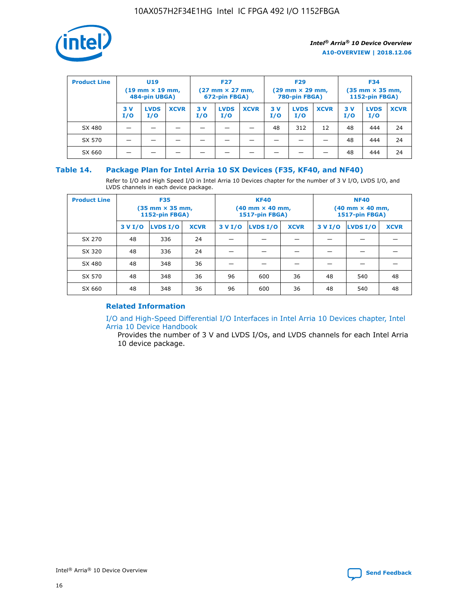

| <b>Product Line</b> | U <sub>19</sub><br>$(19 \text{ mm} \times 19 \text{ mm})$<br>484-pin UBGA) |                    | <b>F27</b><br>$(27 \text{ mm} \times 27 \text{ mm})$<br>672-pin FBGA) |           | <b>F29</b><br>$(29$ mm $\times$ 29 mm,<br>780-pin FBGA) |             |           | <b>F34</b><br>$(35$ mm $\times$ 35 mm,<br><b>1152-pin FBGA)</b> |             |            |                    |             |
|---------------------|----------------------------------------------------------------------------|--------------------|-----------------------------------------------------------------------|-----------|---------------------------------------------------------|-------------|-----------|-----------------------------------------------------------------|-------------|------------|--------------------|-------------|
|                     | 3 V<br>I/O                                                                 | <b>LVDS</b><br>I/O | <b>XCVR</b>                                                           | 3V<br>I/O | <b>LVDS</b><br>I/O                                      | <b>XCVR</b> | 3V<br>I/O | <b>LVDS</b><br>I/O                                              | <b>XCVR</b> | 3 V<br>I/O | <b>LVDS</b><br>I/O | <b>XCVR</b> |
| SX 480              |                                                                            |                    |                                                                       |           |                                                         |             | 48        | 312                                                             | 12          | 48         | 444                | 24          |
| SX 570              |                                                                            |                    |                                                                       |           |                                                         |             |           |                                                                 |             | 48         | 444                | 24          |
| SX 660              |                                                                            |                    |                                                                       |           |                                                         |             |           |                                                                 |             | 48         | 444                | 24          |

### **Table 14. Package Plan for Intel Arria 10 SX Devices (F35, KF40, and NF40)**

Refer to I/O and High Speed I/O in Intel Arria 10 Devices chapter for the number of 3 V I/O, LVDS I/O, and LVDS channels in each device package.

| <b>Product Line</b> | <b>F35</b><br>(35 mm × 35 mm,<br><b>1152-pin FBGA)</b> |          |             |                                           | <b>KF40</b><br>(40 mm × 40 mm,<br>1517-pin FBGA) |    | <b>NF40</b><br>$(40 \text{ mm} \times 40 \text{ mm})$<br>1517-pin FBGA) |          |             |  |
|---------------------|--------------------------------------------------------|----------|-------------|-------------------------------------------|--------------------------------------------------|----|-------------------------------------------------------------------------|----------|-------------|--|
|                     | 3 V I/O                                                | LVDS I/O | <b>XCVR</b> | <b>LVDS I/O</b><br>3 V I/O<br><b>XCVR</b> |                                                  |    | 3 V I/O                                                                 | LVDS I/O | <b>XCVR</b> |  |
| SX 270              | 48                                                     | 336      | 24          |                                           |                                                  |    |                                                                         |          |             |  |
| SX 320              | 48                                                     | 336      | 24          |                                           |                                                  |    |                                                                         |          |             |  |
| SX 480              | 48                                                     | 348      | 36          |                                           |                                                  |    |                                                                         |          |             |  |
| SX 570              | 48                                                     | 348      | 36          | 96                                        | 600                                              | 36 | 48                                                                      | 540      | 48          |  |
| SX 660              | 48                                                     | 348      | 36          | 96                                        | 600                                              | 36 | 48                                                                      | 540      | 48          |  |

## **Related Information**

[I/O and High-Speed Differential I/O Interfaces in Intel Arria 10 Devices chapter, Intel](https://www.intel.com/content/www/us/en/programmable/documentation/sam1403482614086.html#sam1403482030321) [Arria 10 Device Handbook](https://www.intel.com/content/www/us/en/programmable/documentation/sam1403482614086.html#sam1403482030321)

Provides the number of 3 V and LVDS I/Os, and LVDS channels for each Intel Arria 10 device package.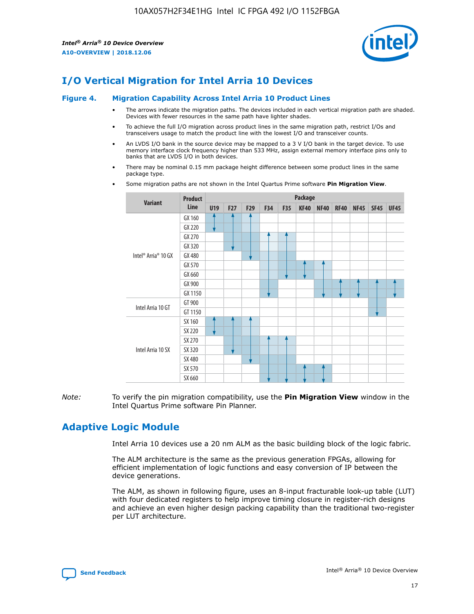

# **I/O Vertical Migration for Intel Arria 10 Devices**

#### **Figure 4. Migration Capability Across Intel Arria 10 Product Lines**

- The arrows indicate the migration paths. The devices included in each vertical migration path are shaded. Devices with fewer resources in the same path have lighter shades.
- To achieve the full I/O migration across product lines in the same migration path, restrict I/Os and transceivers usage to match the product line with the lowest I/O and transceiver counts.
- An LVDS I/O bank in the source device may be mapped to a 3 V I/O bank in the target device. To use memory interface clock frequency higher than 533 MHz, assign external memory interface pins only to banks that are LVDS I/O in both devices.
- There may be nominal 0.15 mm package height difference between some product lines in the same package type.
	- **Variant Product Line Package U19 F27 F29 F34 F35 KF40 NF40 RF40 NF45 SF45 UF45** Intel® Arria® 10 GX GX 160 GX 220 GX 270 GX 320 GX 480 GX 570 GX 660 GX 900 GX 1150 Intel Arria 10 GT GT 900 GT 1150 Intel Arria 10 SX SX 160 SX 220 SX 270 SX 320 SX 480 SX 570 SX 660
- Some migration paths are not shown in the Intel Quartus Prime software **Pin Migration View**.

*Note:* To verify the pin migration compatibility, use the **Pin Migration View** window in the Intel Quartus Prime software Pin Planner.

## **Adaptive Logic Module**

Intel Arria 10 devices use a 20 nm ALM as the basic building block of the logic fabric.

The ALM architecture is the same as the previous generation FPGAs, allowing for efficient implementation of logic functions and easy conversion of IP between the device generations.

The ALM, as shown in following figure, uses an 8-input fracturable look-up table (LUT) with four dedicated registers to help improve timing closure in register-rich designs and achieve an even higher design packing capability than the traditional two-register per LUT architecture.

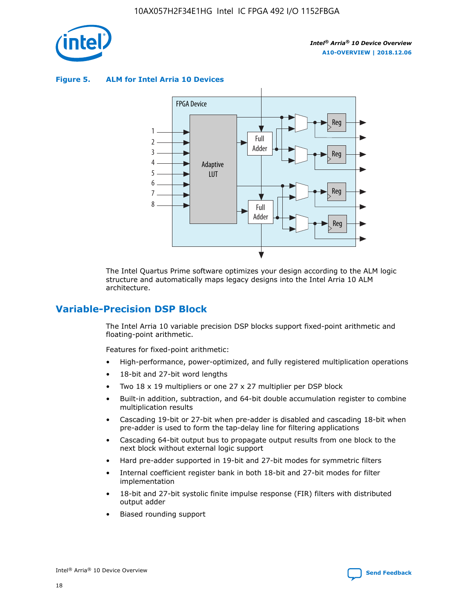

**Figure 5. ALM for Intel Arria 10 Devices**



The Intel Quartus Prime software optimizes your design according to the ALM logic structure and automatically maps legacy designs into the Intel Arria 10 ALM architecture.

## **Variable-Precision DSP Block**

The Intel Arria 10 variable precision DSP blocks support fixed-point arithmetic and floating-point arithmetic.

Features for fixed-point arithmetic:

- High-performance, power-optimized, and fully registered multiplication operations
- 18-bit and 27-bit word lengths
- Two 18 x 19 multipliers or one 27 x 27 multiplier per DSP block
- Built-in addition, subtraction, and 64-bit double accumulation register to combine multiplication results
- Cascading 19-bit or 27-bit when pre-adder is disabled and cascading 18-bit when pre-adder is used to form the tap-delay line for filtering applications
- Cascading 64-bit output bus to propagate output results from one block to the next block without external logic support
- Hard pre-adder supported in 19-bit and 27-bit modes for symmetric filters
- Internal coefficient register bank in both 18-bit and 27-bit modes for filter implementation
- 18-bit and 27-bit systolic finite impulse response (FIR) filters with distributed output adder
- Biased rounding support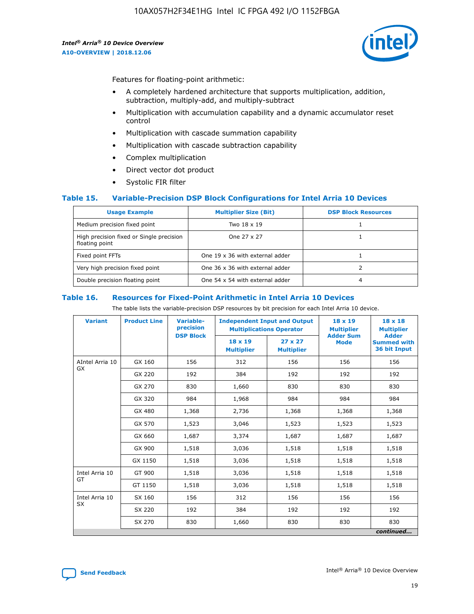

Features for floating-point arithmetic:

- A completely hardened architecture that supports multiplication, addition, subtraction, multiply-add, and multiply-subtract
- Multiplication with accumulation capability and a dynamic accumulator reset control
- Multiplication with cascade summation capability
- Multiplication with cascade subtraction capability
- Complex multiplication
- Direct vector dot product
- Systolic FIR filter

#### **Table 15. Variable-Precision DSP Block Configurations for Intel Arria 10 Devices**

| <b>Usage Example</b>                                       | <b>Multiplier Size (Bit)</b>    | <b>DSP Block Resources</b> |
|------------------------------------------------------------|---------------------------------|----------------------------|
| Medium precision fixed point                               | Two 18 x 19                     |                            |
| High precision fixed or Single precision<br>floating point | One 27 x 27                     |                            |
| Fixed point FFTs                                           | One 19 x 36 with external adder |                            |
| Very high precision fixed point                            | One 36 x 36 with external adder |                            |
| Double precision floating point                            | One 54 x 54 with external adder | 4                          |

#### **Table 16. Resources for Fixed-Point Arithmetic in Intel Arria 10 Devices**

The table lists the variable-precision DSP resources by bit precision for each Intel Arria 10 device.

| <b>Variant</b>  | <b>Product Line</b> | Variable-<br>precision | <b>Independent Input and Output</b><br><b>Multiplications Operator</b> |                                     | $18 \times 19$<br><b>Multiplier</b><br><b>Adder Sum</b> | $18 \times 18$<br><b>Multiplier</b>                |
|-----------------|---------------------|------------------------|------------------------------------------------------------------------|-------------------------------------|---------------------------------------------------------|----------------------------------------------------|
|                 |                     | <b>DSP Block</b>       | $18 \times 19$<br><b>Multiplier</b>                                    | $27 \times 27$<br><b>Multiplier</b> | <b>Mode</b>                                             | <b>Adder</b><br><b>Summed with</b><br>36 bit Input |
| AIntel Arria 10 | GX 160              | 156                    | 312                                                                    | 156                                 | 156                                                     | 156                                                |
| <b>GX</b>       | GX 220              | 192                    | 384                                                                    | 192                                 | 192                                                     | 192                                                |
|                 | GX 270              | 830                    | 1,660                                                                  | 830                                 | 830                                                     | 830                                                |
|                 | GX 320              | 984                    | 1,968                                                                  | 984                                 | 984                                                     | 984                                                |
|                 | GX 480              | 1,368                  | 2,736                                                                  | 1,368                               | 1,368                                                   | 1,368                                              |
|                 | GX 570              | 1,523                  | 3,046                                                                  | 1,523                               | 1,523                                                   | 1,523                                              |
|                 | GX 660              | 1,687                  | 3,374                                                                  | 1,687                               | 1,687                                                   | 1,687                                              |
|                 | GX 900              | 1,518                  | 3,036                                                                  | 1,518                               | 1,518                                                   | 1,518                                              |
|                 | GX 1150             | 1,518                  | 3,036                                                                  | 1,518                               | 1,518                                                   | 1,518                                              |
| Intel Arria 10  | GT 900              | 1,518                  | 3,036                                                                  | 1,518                               | 1,518                                                   | 1,518                                              |
| GT              | GT 1150             | 1,518                  | 3,036                                                                  | 1,518                               | 1,518                                                   | 1,518                                              |
| Intel Arria 10  | SX 160              | 156                    | 312                                                                    | 156                                 | 156                                                     | 156                                                |
| <b>SX</b>       | SX 220              | 192                    | 384                                                                    | 192                                 | 192                                                     | 192                                                |
|                 | SX 270              | 830                    | 1,660                                                                  | 830                                 | 830                                                     | 830                                                |
|                 |                     |                        |                                                                        |                                     |                                                         | continued                                          |

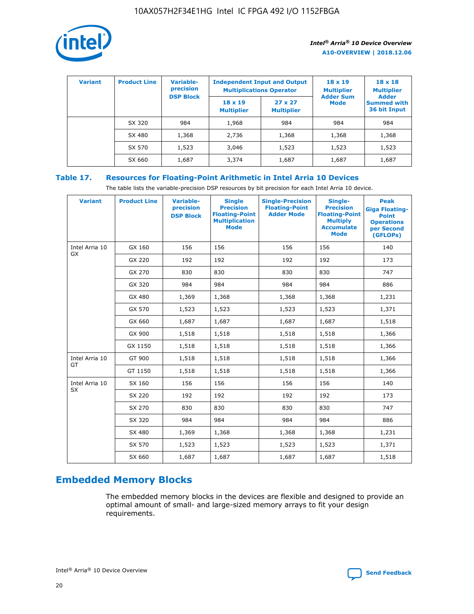

| <b>Variant</b> | <b>Product Line</b> | <b>Variable-</b><br>precision |                                     | <b>Independent Input and Output</b><br><b>Multiplications Operator</b> | $18 \times 19$<br><b>Multiplier</b> | $18 \times 18$<br><b>Multiplier</b>                |
|----------------|---------------------|-------------------------------|-------------------------------------|------------------------------------------------------------------------|-------------------------------------|----------------------------------------------------|
|                |                     | <b>DSP Block</b>              | $18 \times 19$<br><b>Multiplier</b> | $27 \times 27$<br><b>Multiplier</b>                                    | <b>Adder Sum</b><br>Mode            | <b>Adder</b><br><b>Summed with</b><br>36 bit Input |
|                | SX 320              | 984                           | 1,968                               | 984                                                                    | 984                                 | 984                                                |
|                | SX 480              | 1,368                         | 2,736                               | 1,368                                                                  | 1,368                               | 1,368                                              |
|                | SX 570              | 1,523                         | 3,046                               | 1,523                                                                  | 1,523                               | 1,523                                              |
|                | SX 660              | 1,687                         | 3,374                               | 1,687                                                                  | 1,687                               | 1,687                                              |

## **Table 17. Resources for Floating-Point Arithmetic in Intel Arria 10 Devices**

The table lists the variable-precision DSP resources by bit precision for each Intel Arria 10 device.

| <b>Variant</b>              | <b>Product Line</b> | <b>Variable-</b><br>precision<br><b>DSP Block</b> | <b>Single</b><br><b>Precision</b><br><b>Floating-Point</b><br><b>Multiplication</b><br><b>Mode</b> | <b>Single-Precision</b><br><b>Floating-Point</b><br><b>Adder Mode</b> | Single-<br><b>Precision</b><br><b>Floating-Point</b><br><b>Multiply</b><br><b>Accumulate</b><br><b>Mode</b> | <b>Peak</b><br><b>Giga Floating-</b><br><b>Point</b><br><b>Operations</b><br>per Second<br>(GFLOPs) |
|-----------------------------|---------------------|---------------------------------------------------|----------------------------------------------------------------------------------------------------|-----------------------------------------------------------------------|-------------------------------------------------------------------------------------------------------------|-----------------------------------------------------------------------------------------------------|
| Intel Arria 10<br>GX        | GX 160              | 156                                               | 156                                                                                                | 156                                                                   | 156                                                                                                         | 140                                                                                                 |
|                             | GX 220              | 192                                               | 192                                                                                                | 192                                                                   | 192                                                                                                         | 173                                                                                                 |
|                             | GX 270              | 830                                               | 830                                                                                                | 830                                                                   | 830                                                                                                         | 747                                                                                                 |
|                             | GX 320              | 984                                               | 984                                                                                                | 984                                                                   | 984                                                                                                         | 886                                                                                                 |
|                             | GX 480              | 1,369                                             | 1,368                                                                                              | 1,368                                                                 | 1,368                                                                                                       | 1,231                                                                                               |
|                             | GX 570              | 1,523                                             | 1,523                                                                                              | 1,523                                                                 | 1,523                                                                                                       | 1,371                                                                                               |
|                             | GX 660              | 1,687                                             | 1,687                                                                                              | 1,687                                                                 | 1,687                                                                                                       | 1,518                                                                                               |
|                             | GX 900              | 1,518                                             | 1,518                                                                                              | 1,518                                                                 | 1,518                                                                                                       | 1,366                                                                                               |
|                             | GX 1150             | 1,518                                             | 1,518                                                                                              | 1,518                                                                 | 1,518                                                                                                       | 1,366                                                                                               |
| Intel Arria 10              | GT 900              | 1,518                                             | 1,518                                                                                              | 1,518                                                                 | 1,518                                                                                                       | 1,366                                                                                               |
| GT                          | GT 1150             | 1,518                                             | 1,518                                                                                              | 1,518                                                                 | 1,518                                                                                                       | 1,366                                                                                               |
| Intel Arria 10<br><b>SX</b> | SX 160              | 156                                               | 156                                                                                                | 156                                                                   | 156                                                                                                         | 140                                                                                                 |
|                             | SX 220              | 192                                               | 192                                                                                                | 192                                                                   | 192                                                                                                         | 173                                                                                                 |
|                             | SX 270              | 830                                               | 830                                                                                                | 830                                                                   | 830                                                                                                         | 747                                                                                                 |
|                             | SX 320              | 984                                               | 984                                                                                                | 984                                                                   | 984                                                                                                         | 886                                                                                                 |
|                             | SX 480              | 1,369                                             | 1,368                                                                                              | 1,368                                                                 | 1,368                                                                                                       | 1,231                                                                                               |
|                             | SX 570              | 1,523                                             | 1,523                                                                                              | 1,523                                                                 | 1,523                                                                                                       | 1,371                                                                                               |
|                             | SX 660              | 1,687                                             | 1,687                                                                                              | 1,687                                                                 | 1,687                                                                                                       | 1,518                                                                                               |

# **Embedded Memory Blocks**

The embedded memory blocks in the devices are flexible and designed to provide an optimal amount of small- and large-sized memory arrays to fit your design requirements.

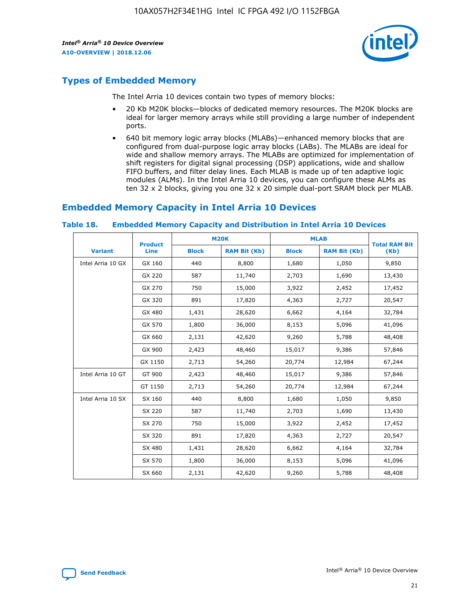

## **Types of Embedded Memory**

The Intel Arria 10 devices contain two types of memory blocks:

- 20 Kb M20K blocks—blocks of dedicated memory resources. The M20K blocks are ideal for larger memory arrays while still providing a large number of independent ports.
- 640 bit memory logic array blocks (MLABs)—enhanced memory blocks that are configured from dual-purpose logic array blocks (LABs). The MLABs are ideal for wide and shallow memory arrays. The MLABs are optimized for implementation of shift registers for digital signal processing (DSP) applications, wide and shallow FIFO buffers, and filter delay lines. Each MLAB is made up of ten adaptive logic modules (ALMs). In the Intel Arria 10 devices, you can configure these ALMs as ten 32 x 2 blocks, giving you one 32 x 20 simple dual-port SRAM block per MLAB.

## **Embedded Memory Capacity in Intel Arria 10 Devices**

|                   | <b>Product</b> |              | <b>M20K</b>         | <b>MLAB</b>  |                     | <b>Total RAM Bit</b> |
|-------------------|----------------|--------------|---------------------|--------------|---------------------|----------------------|
| <b>Variant</b>    | <b>Line</b>    | <b>Block</b> | <b>RAM Bit (Kb)</b> | <b>Block</b> | <b>RAM Bit (Kb)</b> | (Kb)                 |
| Intel Arria 10 GX | GX 160         | 440          | 8,800               | 1,680        | 1,050               | 9,850                |
|                   | GX 220         | 587          | 11,740              | 2,703        | 1,690               | 13,430               |
|                   | GX 270         | 750          | 15,000              | 3,922        | 2,452               | 17,452               |
|                   | GX 320         | 891          | 17,820              | 4,363        | 2,727               | 20,547               |
|                   | GX 480         | 1,431        | 28,620              | 6,662        | 4,164               | 32,784               |
|                   | GX 570         | 1,800        | 36,000              | 8,153        | 5,096               | 41,096               |
|                   | GX 660         | 2,131        | 42,620              | 9,260        | 5,788               | 48,408               |
|                   | GX 900         | 2,423        | 48,460              | 15,017       | 9,386               | 57,846               |
|                   | GX 1150        | 2,713        | 54,260              | 20,774       | 12,984              | 67,244               |
| Intel Arria 10 GT | GT 900         | 2,423        | 48,460              | 15,017       | 9,386               | 57,846               |
|                   | GT 1150        | 2,713        | 54,260              | 20,774       | 12,984              | 67,244               |
| Intel Arria 10 SX | SX 160         | 440          | 8,800               | 1,680        | 1,050               | 9,850                |
|                   | SX 220         | 587          | 11,740              | 2,703        | 1,690               | 13,430               |
|                   | SX 270         | 750          | 15,000              | 3,922        | 2,452               | 17,452               |
|                   | SX 320         | 891          | 17,820              | 4,363        | 2,727               | 20,547               |
|                   | SX 480         | 1,431        | 28,620              | 6,662        | 4,164               | 32,784               |
|                   | SX 570         | 1,800        | 36,000              | 8,153        | 5,096               | 41,096               |
|                   | SX 660         | 2,131        | 42,620              | 9,260        | 5,788               | 48,408               |

#### **Table 18. Embedded Memory Capacity and Distribution in Intel Arria 10 Devices**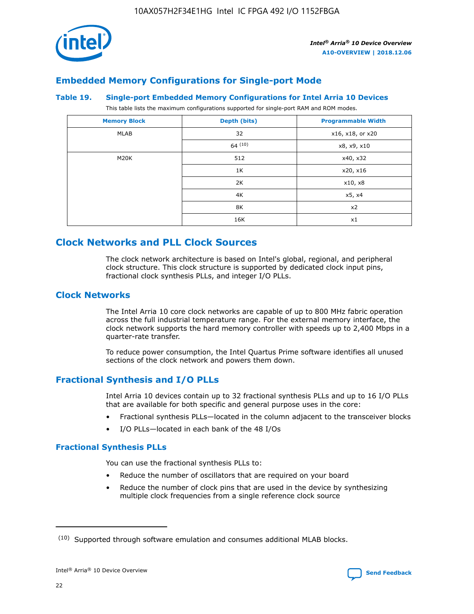

## **Embedded Memory Configurations for Single-port Mode**

#### **Table 19. Single-port Embedded Memory Configurations for Intel Arria 10 Devices**

This table lists the maximum configurations supported for single-port RAM and ROM modes.

| <b>Memory Block</b> | Depth (bits) | <b>Programmable Width</b> |
|---------------------|--------------|---------------------------|
| MLAB                | 32           | x16, x18, or x20          |
|                     | 64(10)       | x8, x9, x10               |
| M20K                | 512          | x40, x32                  |
|                     | 1K           | x20, x16                  |
|                     | 2K           | x10, x8                   |
|                     | 4K           | x5, x4                    |
|                     | 8K           | x2                        |
|                     | 16K          | x1                        |

## **Clock Networks and PLL Clock Sources**

The clock network architecture is based on Intel's global, regional, and peripheral clock structure. This clock structure is supported by dedicated clock input pins, fractional clock synthesis PLLs, and integer I/O PLLs.

## **Clock Networks**

The Intel Arria 10 core clock networks are capable of up to 800 MHz fabric operation across the full industrial temperature range. For the external memory interface, the clock network supports the hard memory controller with speeds up to 2,400 Mbps in a quarter-rate transfer.

To reduce power consumption, the Intel Quartus Prime software identifies all unused sections of the clock network and powers them down.

## **Fractional Synthesis and I/O PLLs**

Intel Arria 10 devices contain up to 32 fractional synthesis PLLs and up to 16 I/O PLLs that are available for both specific and general purpose uses in the core:

- Fractional synthesis PLLs—located in the column adjacent to the transceiver blocks
- I/O PLLs—located in each bank of the 48 I/Os

## **Fractional Synthesis PLLs**

You can use the fractional synthesis PLLs to:

- Reduce the number of oscillators that are required on your board
- Reduce the number of clock pins that are used in the device by synthesizing multiple clock frequencies from a single reference clock source

<sup>(10)</sup> Supported through software emulation and consumes additional MLAB blocks.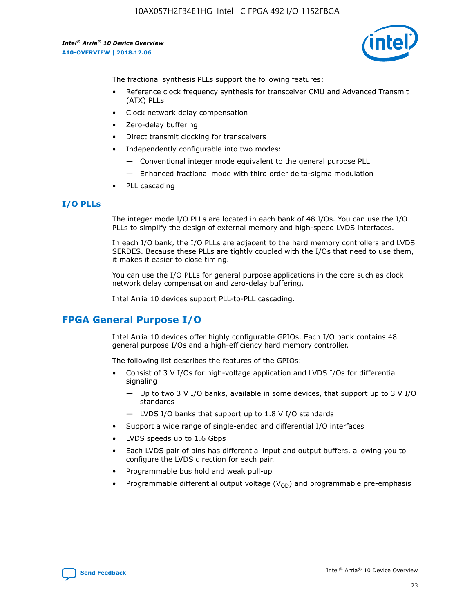

The fractional synthesis PLLs support the following features:

- Reference clock frequency synthesis for transceiver CMU and Advanced Transmit (ATX) PLLs
- Clock network delay compensation
- Zero-delay buffering
- Direct transmit clocking for transceivers
- Independently configurable into two modes:
	- Conventional integer mode equivalent to the general purpose PLL
	- Enhanced fractional mode with third order delta-sigma modulation
- PLL cascading

## **I/O PLLs**

The integer mode I/O PLLs are located in each bank of 48 I/Os. You can use the I/O PLLs to simplify the design of external memory and high-speed LVDS interfaces.

In each I/O bank, the I/O PLLs are adjacent to the hard memory controllers and LVDS SERDES. Because these PLLs are tightly coupled with the I/Os that need to use them, it makes it easier to close timing.

You can use the I/O PLLs for general purpose applications in the core such as clock network delay compensation and zero-delay buffering.

Intel Arria 10 devices support PLL-to-PLL cascading.

## **FPGA General Purpose I/O**

Intel Arria 10 devices offer highly configurable GPIOs. Each I/O bank contains 48 general purpose I/Os and a high-efficiency hard memory controller.

The following list describes the features of the GPIOs:

- Consist of 3 V I/Os for high-voltage application and LVDS I/Os for differential signaling
	- Up to two 3 V I/O banks, available in some devices, that support up to 3 V I/O standards
	- LVDS I/O banks that support up to 1.8 V I/O standards
- Support a wide range of single-ended and differential I/O interfaces
- LVDS speeds up to 1.6 Gbps
- Each LVDS pair of pins has differential input and output buffers, allowing you to configure the LVDS direction for each pair.
- Programmable bus hold and weak pull-up
- Programmable differential output voltage  $(V_{OD})$  and programmable pre-emphasis

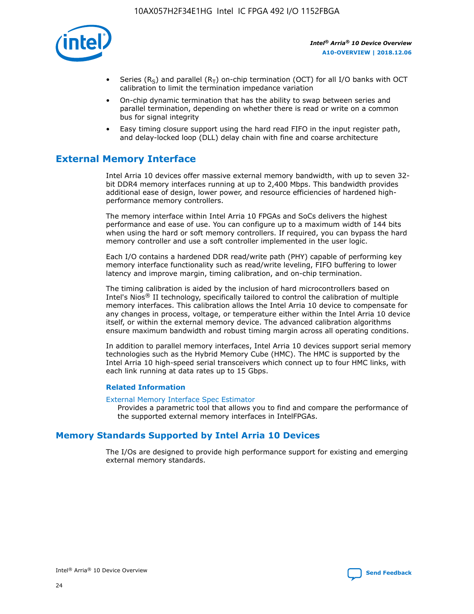

- Series (R<sub>S</sub>) and parallel (R<sub>T</sub>) on-chip termination (OCT) for all I/O banks with OCT calibration to limit the termination impedance variation
- On-chip dynamic termination that has the ability to swap between series and parallel termination, depending on whether there is read or write on a common bus for signal integrity
- Easy timing closure support using the hard read FIFO in the input register path, and delay-locked loop (DLL) delay chain with fine and coarse architecture

## **External Memory Interface**

Intel Arria 10 devices offer massive external memory bandwidth, with up to seven 32 bit DDR4 memory interfaces running at up to 2,400 Mbps. This bandwidth provides additional ease of design, lower power, and resource efficiencies of hardened highperformance memory controllers.

The memory interface within Intel Arria 10 FPGAs and SoCs delivers the highest performance and ease of use. You can configure up to a maximum width of 144 bits when using the hard or soft memory controllers. If required, you can bypass the hard memory controller and use a soft controller implemented in the user logic.

Each I/O contains a hardened DDR read/write path (PHY) capable of performing key memory interface functionality such as read/write leveling, FIFO buffering to lower latency and improve margin, timing calibration, and on-chip termination.

The timing calibration is aided by the inclusion of hard microcontrollers based on Intel's Nios® II technology, specifically tailored to control the calibration of multiple memory interfaces. This calibration allows the Intel Arria 10 device to compensate for any changes in process, voltage, or temperature either within the Intel Arria 10 device itself, or within the external memory device. The advanced calibration algorithms ensure maximum bandwidth and robust timing margin across all operating conditions.

In addition to parallel memory interfaces, Intel Arria 10 devices support serial memory technologies such as the Hybrid Memory Cube (HMC). The HMC is supported by the Intel Arria 10 high-speed serial transceivers which connect up to four HMC links, with each link running at data rates up to 15 Gbps.

#### **Related Information**

#### [External Memory Interface Spec Estimator](http://www.altera.com/technology/memory/estimator/mem-emif-index.html)

Provides a parametric tool that allows you to find and compare the performance of the supported external memory interfaces in IntelFPGAs.

## **Memory Standards Supported by Intel Arria 10 Devices**

The I/Os are designed to provide high performance support for existing and emerging external memory standards.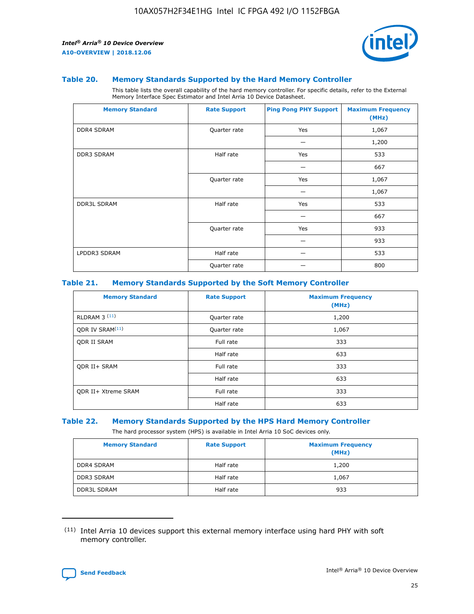

#### **Table 20. Memory Standards Supported by the Hard Memory Controller**

This table lists the overall capability of the hard memory controller. For specific details, refer to the External Memory Interface Spec Estimator and Intel Arria 10 Device Datasheet.

| <b>Memory Standard</b> | <b>Rate Support</b> | <b>Ping Pong PHY Support</b> | <b>Maximum Frequency</b><br>(MHz) |
|------------------------|---------------------|------------------------------|-----------------------------------|
| <b>DDR4 SDRAM</b>      | Quarter rate        | Yes                          | 1,067                             |
|                        |                     |                              | 1,200                             |
| DDR3 SDRAM             | Half rate           | Yes                          | 533                               |
|                        |                     |                              | 667                               |
|                        | Quarter rate        | Yes                          | 1,067                             |
|                        |                     |                              | 1,067                             |
| <b>DDR3L SDRAM</b>     | Half rate           | Yes                          | 533                               |
|                        |                     |                              | 667                               |
|                        | Quarter rate        | Yes                          | 933                               |
|                        |                     |                              | 933                               |
| LPDDR3 SDRAM           | Half rate           |                              | 533                               |
|                        | Quarter rate        |                              | 800                               |

#### **Table 21. Memory Standards Supported by the Soft Memory Controller**

| <b>Memory Standard</b>      | <b>Rate Support</b> | <b>Maximum Frequency</b><br>(MHz) |
|-----------------------------|---------------------|-----------------------------------|
| <b>RLDRAM 3 (11)</b>        | Quarter rate        | 1,200                             |
| ODR IV SRAM <sup>(11)</sup> | Quarter rate        | 1,067                             |
| <b>ODR II SRAM</b>          | Full rate           | 333                               |
|                             | Half rate           | 633                               |
| <b>ODR II+ SRAM</b>         | Full rate           | 333                               |
|                             | Half rate           | 633                               |
| <b>ODR II+ Xtreme SRAM</b>  | Full rate           | 333                               |
|                             | Half rate           | 633                               |

#### **Table 22. Memory Standards Supported by the HPS Hard Memory Controller**

The hard processor system (HPS) is available in Intel Arria 10 SoC devices only.

| <b>Memory Standard</b> | <b>Rate Support</b> | <b>Maximum Frequency</b><br>(MHz) |
|------------------------|---------------------|-----------------------------------|
| <b>DDR4 SDRAM</b>      | Half rate           | 1,200                             |
| <b>DDR3 SDRAM</b>      | Half rate           | 1,067                             |
| <b>DDR3L SDRAM</b>     | Half rate           | 933                               |

<sup>(11)</sup> Intel Arria 10 devices support this external memory interface using hard PHY with soft memory controller.

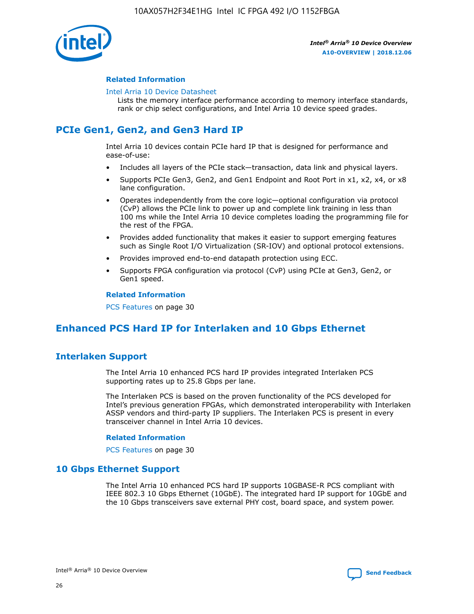

#### **Related Information**

#### [Intel Arria 10 Device Datasheet](https://www.intel.com/content/www/us/en/programmable/documentation/mcn1413182292568.html#mcn1413182153340)

Lists the memory interface performance according to memory interface standards, rank or chip select configurations, and Intel Arria 10 device speed grades.

# **PCIe Gen1, Gen2, and Gen3 Hard IP**

Intel Arria 10 devices contain PCIe hard IP that is designed for performance and ease-of-use:

- Includes all layers of the PCIe stack—transaction, data link and physical layers.
- Supports PCIe Gen3, Gen2, and Gen1 Endpoint and Root Port in x1, x2, x4, or x8 lane configuration.
- Operates independently from the core logic—optional configuration via protocol (CvP) allows the PCIe link to power up and complete link training in less than 100 ms while the Intel Arria 10 device completes loading the programming file for the rest of the FPGA.
- Provides added functionality that makes it easier to support emerging features such as Single Root I/O Virtualization (SR-IOV) and optional protocol extensions.
- Provides improved end-to-end datapath protection using ECC.
- Supports FPGA configuration via protocol (CvP) using PCIe at Gen3, Gen2, or Gen1 speed.

#### **Related Information**

PCS Features on page 30

# **Enhanced PCS Hard IP for Interlaken and 10 Gbps Ethernet**

## **Interlaken Support**

The Intel Arria 10 enhanced PCS hard IP provides integrated Interlaken PCS supporting rates up to 25.8 Gbps per lane.

The Interlaken PCS is based on the proven functionality of the PCS developed for Intel's previous generation FPGAs, which demonstrated interoperability with Interlaken ASSP vendors and third-party IP suppliers. The Interlaken PCS is present in every transceiver channel in Intel Arria 10 devices.

#### **Related Information**

PCS Features on page 30

## **10 Gbps Ethernet Support**

The Intel Arria 10 enhanced PCS hard IP supports 10GBASE-R PCS compliant with IEEE 802.3 10 Gbps Ethernet (10GbE). The integrated hard IP support for 10GbE and the 10 Gbps transceivers save external PHY cost, board space, and system power.

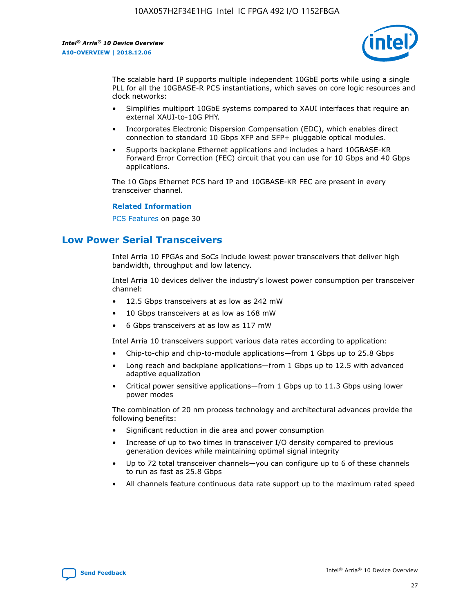

The scalable hard IP supports multiple independent 10GbE ports while using a single PLL for all the 10GBASE-R PCS instantiations, which saves on core logic resources and clock networks:

- Simplifies multiport 10GbE systems compared to XAUI interfaces that require an external XAUI-to-10G PHY.
- Incorporates Electronic Dispersion Compensation (EDC), which enables direct connection to standard 10 Gbps XFP and SFP+ pluggable optical modules.
- Supports backplane Ethernet applications and includes a hard 10GBASE-KR Forward Error Correction (FEC) circuit that you can use for 10 Gbps and 40 Gbps applications.

The 10 Gbps Ethernet PCS hard IP and 10GBASE-KR FEC are present in every transceiver channel.

#### **Related Information**

PCS Features on page 30

## **Low Power Serial Transceivers**

Intel Arria 10 FPGAs and SoCs include lowest power transceivers that deliver high bandwidth, throughput and low latency.

Intel Arria 10 devices deliver the industry's lowest power consumption per transceiver channel:

- 12.5 Gbps transceivers at as low as 242 mW
- 10 Gbps transceivers at as low as 168 mW
- 6 Gbps transceivers at as low as 117 mW

Intel Arria 10 transceivers support various data rates according to application:

- Chip-to-chip and chip-to-module applications—from 1 Gbps up to 25.8 Gbps
- Long reach and backplane applications—from 1 Gbps up to 12.5 with advanced adaptive equalization
- Critical power sensitive applications—from 1 Gbps up to 11.3 Gbps using lower power modes

The combination of 20 nm process technology and architectural advances provide the following benefits:

- Significant reduction in die area and power consumption
- Increase of up to two times in transceiver I/O density compared to previous generation devices while maintaining optimal signal integrity
- Up to 72 total transceiver channels—you can configure up to 6 of these channels to run as fast as 25.8 Gbps
- All channels feature continuous data rate support up to the maximum rated speed

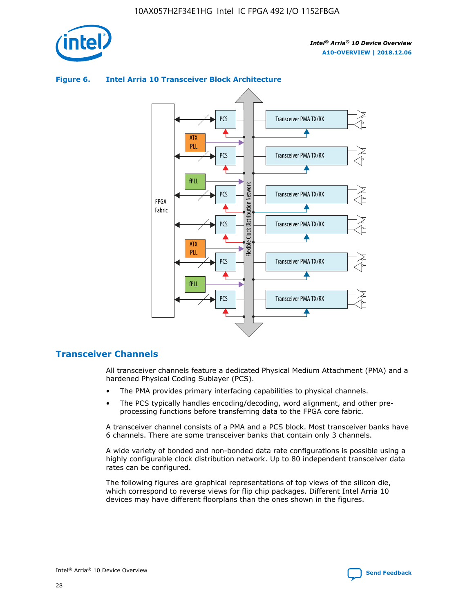



### **Figure 6. Intel Arria 10 Transceiver Block Architecture**

## **Transceiver Channels**

All transceiver channels feature a dedicated Physical Medium Attachment (PMA) and a hardened Physical Coding Sublayer (PCS).

- The PMA provides primary interfacing capabilities to physical channels.
- The PCS typically handles encoding/decoding, word alignment, and other preprocessing functions before transferring data to the FPGA core fabric.

A transceiver channel consists of a PMA and a PCS block. Most transceiver banks have 6 channels. There are some transceiver banks that contain only 3 channels.

A wide variety of bonded and non-bonded data rate configurations is possible using a highly configurable clock distribution network. Up to 80 independent transceiver data rates can be configured.

The following figures are graphical representations of top views of the silicon die, which correspond to reverse views for flip chip packages. Different Intel Arria 10 devices may have different floorplans than the ones shown in the figures.

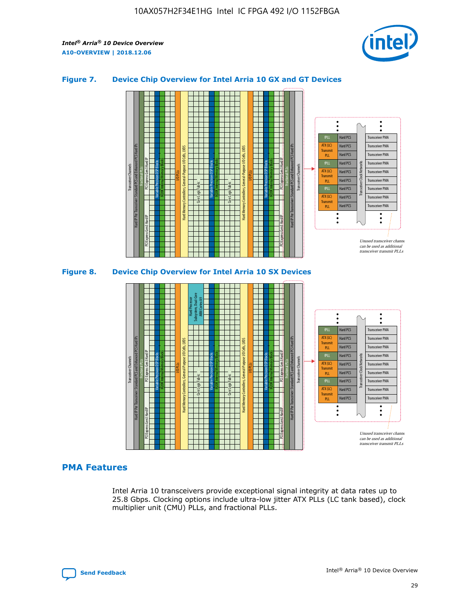

## **Figure 7. Device Chip Overview for Intel Arria 10 GX and GT Devices**





## **PMA Features**

Intel Arria 10 transceivers provide exceptional signal integrity at data rates up to 25.8 Gbps. Clocking options include ultra-low jitter ATX PLLs (LC tank based), clock multiplier unit (CMU) PLLs, and fractional PLLs.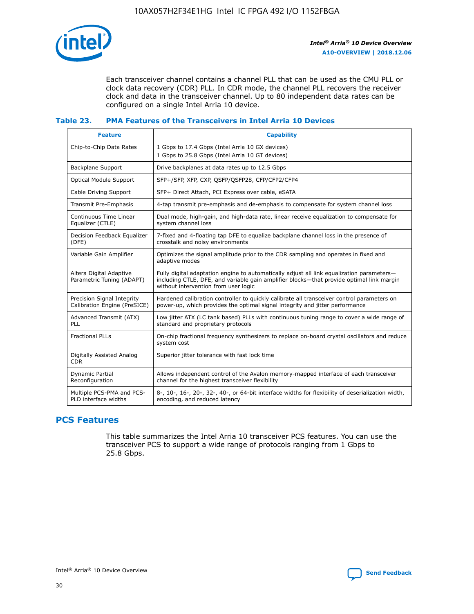

Each transceiver channel contains a channel PLL that can be used as the CMU PLL or clock data recovery (CDR) PLL. In CDR mode, the channel PLL recovers the receiver clock and data in the transceiver channel. Up to 80 independent data rates can be configured on a single Intel Arria 10 device.

### **Table 23. PMA Features of the Transceivers in Intel Arria 10 Devices**

| <b>Feature</b>                                             | <b>Capability</b>                                                                                                                                                                                                             |
|------------------------------------------------------------|-------------------------------------------------------------------------------------------------------------------------------------------------------------------------------------------------------------------------------|
| Chip-to-Chip Data Rates                                    | 1 Gbps to 17.4 Gbps (Intel Arria 10 GX devices)<br>1 Gbps to 25.8 Gbps (Intel Arria 10 GT devices)                                                                                                                            |
| Backplane Support                                          | Drive backplanes at data rates up to 12.5 Gbps                                                                                                                                                                                |
| Optical Module Support                                     | SFP+/SFP, XFP, CXP, QSFP/QSFP28, CFP/CFP2/CFP4                                                                                                                                                                                |
| Cable Driving Support                                      | SFP+ Direct Attach, PCI Express over cable, eSATA                                                                                                                                                                             |
| Transmit Pre-Emphasis                                      | 4-tap transmit pre-emphasis and de-emphasis to compensate for system channel loss                                                                                                                                             |
| Continuous Time Linear<br>Equalizer (CTLE)                 | Dual mode, high-gain, and high-data rate, linear receive equalization to compensate for<br>system channel loss                                                                                                                |
| Decision Feedback Equalizer<br>(DFE)                       | 7-fixed and 4-floating tap DFE to equalize backplane channel loss in the presence of<br>crosstalk and noisy environments                                                                                                      |
| Variable Gain Amplifier                                    | Optimizes the signal amplitude prior to the CDR sampling and operates in fixed and<br>adaptive modes                                                                                                                          |
| Altera Digital Adaptive<br>Parametric Tuning (ADAPT)       | Fully digital adaptation engine to automatically adjust all link equalization parameters-<br>including CTLE, DFE, and variable gain amplifier blocks—that provide optimal link margin<br>without intervention from user logic |
| Precision Signal Integrity<br>Calibration Engine (PreSICE) | Hardened calibration controller to quickly calibrate all transceiver control parameters on<br>power-up, which provides the optimal signal integrity and jitter performance                                                    |
| Advanced Transmit (ATX)<br><b>PLL</b>                      | Low jitter ATX (LC tank based) PLLs with continuous tuning range to cover a wide range of<br>standard and proprietary protocols                                                                                               |
| <b>Fractional PLLs</b>                                     | On-chip fractional frequency synthesizers to replace on-board crystal oscillators and reduce<br>system cost                                                                                                                   |
| Digitally Assisted Analog<br><b>CDR</b>                    | Superior jitter tolerance with fast lock time                                                                                                                                                                                 |
| Dynamic Partial<br>Reconfiguration                         | Allows independent control of the Avalon memory-mapped interface of each transceiver<br>channel for the highest transceiver flexibility                                                                                       |
| Multiple PCS-PMA and PCS-<br>PLD interface widths          | 8-, 10-, 16-, 20-, 32-, 40-, or 64-bit interface widths for flexibility of deserialization width,<br>encoding, and reduced latency                                                                                            |

## **PCS Features**

This table summarizes the Intel Arria 10 transceiver PCS features. You can use the transceiver PCS to support a wide range of protocols ranging from 1 Gbps to 25.8 Gbps.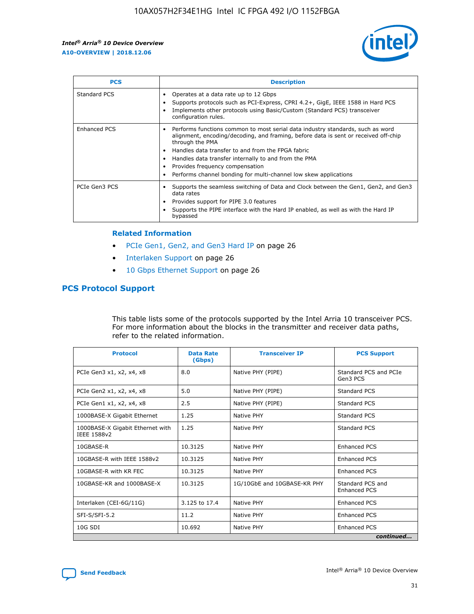

| <b>PCS</b>    | <b>Description</b>                                                                                                                                                                                                                                                                                                                                                                                             |
|---------------|----------------------------------------------------------------------------------------------------------------------------------------------------------------------------------------------------------------------------------------------------------------------------------------------------------------------------------------------------------------------------------------------------------------|
| Standard PCS  | Operates at a data rate up to 12 Gbps<br>Supports protocols such as PCI-Express, CPRI 4.2+, GigE, IEEE 1588 in Hard PCS<br>Implements other protocols using Basic/Custom (Standard PCS) transceiver<br>configuration rules.                                                                                                                                                                                    |
| Enhanced PCS  | Performs functions common to most serial data industry standards, such as word<br>alignment, encoding/decoding, and framing, before data is sent or received off-chip<br>through the PMA<br>• Handles data transfer to and from the FPGA fabric<br>Handles data transfer internally to and from the PMA<br>Provides frequency compensation<br>Performs channel bonding for multi-channel low skew applications |
| PCIe Gen3 PCS | Supports the seamless switching of Data and Clock between the Gen1, Gen2, and Gen3<br>data rates<br>Provides support for PIPE 3.0 features<br>Supports the PIPE interface with the Hard IP enabled, as well as with the Hard IP<br>bypassed                                                                                                                                                                    |

#### **Related Information**

- PCIe Gen1, Gen2, and Gen3 Hard IP on page 26
- Interlaken Support on page 26
- 10 Gbps Ethernet Support on page 26

## **PCS Protocol Support**

This table lists some of the protocols supported by the Intel Arria 10 transceiver PCS. For more information about the blocks in the transmitter and receiver data paths, refer to the related information.

| <b>Protocol</b>                                 | <b>Data Rate</b><br>(Gbps) | <b>Transceiver IP</b>       | <b>PCS Support</b>                      |
|-------------------------------------------------|----------------------------|-----------------------------|-----------------------------------------|
| PCIe Gen3 x1, x2, x4, x8                        | 8.0                        | Native PHY (PIPE)           | Standard PCS and PCIe<br>Gen3 PCS       |
| PCIe Gen2 x1, x2, x4, x8                        | 5.0                        | Native PHY (PIPE)           | <b>Standard PCS</b>                     |
| PCIe Gen1 x1, x2, x4, x8                        | 2.5                        | Native PHY (PIPE)           | Standard PCS                            |
| 1000BASE-X Gigabit Ethernet                     | 1.25                       | Native PHY                  | <b>Standard PCS</b>                     |
| 1000BASE-X Gigabit Ethernet with<br>IEEE 1588v2 | 1.25                       | Native PHY                  | Standard PCS                            |
| 10GBASE-R                                       | 10.3125                    | Native PHY                  | <b>Enhanced PCS</b>                     |
| 10GBASE-R with IEEE 1588v2                      | 10.3125                    | Native PHY                  | <b>Enhanced PCS</b>                     |
| 10GBASE-R with KR FEC                           | 10.3125                    | Native PHY                  | <b>Enhanced PCS</b>                     |
| 10GBASE-KR and 1000BASE-X                       | 10.3125                    | 1G/10GbE and 10GBASE-KR PHY | Standard PCS and<br><b>Enhanced PCS</b> |
| Interlaken (CEI-6G/11G)                         | 3.125 to 17.4              | Native PHY                  | <b>Enhanced PCS</b>                     |
| SFI-S/SFI-5.2                                   | 11.2                       | Native PHY                  | <b>Enhanced PCS</b>                     |
| $10G$ SDI                                       | 10.692                     | Native PHY                  | <b>Enhanced PCS</b>                     |
|                                                 |                            |                             | continued                               |

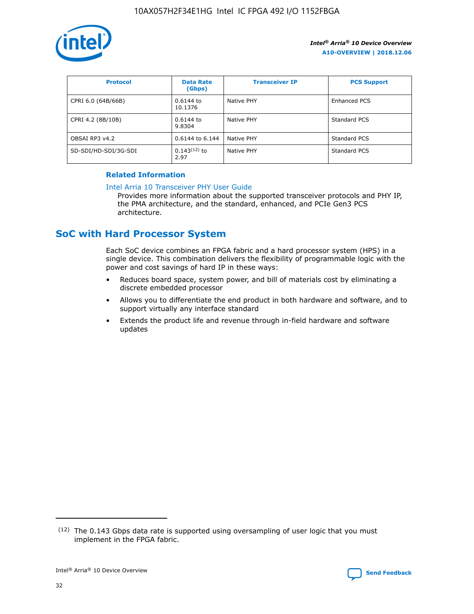

| <b>Protocol</b>      | <b>Data Rate</b><br>(Gbps) | <b>Transceiver IP</b> | <b>PCS Support</b> |
|----------------------|----------------------------|-----------------------|--------------------|
| CPRI 6.0 (64B/66B)   | 0.6144 to<br>10.1376       | Native PHY            | Enhanced PCS       |
| CPRI 4.2 (8B/10B)    | $0.6144$ to<br>9.8304      | Native PHY            | Standard PCS       |
| OBSAI RP3 v4.2       | 0.6144 to 6.144            | Native PHY            | Standard PCS       |
| SD-SDI/HD-SDI/3G-SDI | $0.143(12)$ to<br>2.97     | Native PHY            | Standard PCS       |

## **Related Information**

#### [Intel Arria 10 Transceiver PHY User Guide](https://www.intel.com/content/www/us/en/programmable/documentation/nik1398707230472.html#nik1398707091164)

Provides more information about the supported transceiver protocols and PHY IP, the PMA architecture, and the standard, enhanced, and PCIe Gen3 PCS architecture.

## **SoC with Hard Processor System**

Each SoC device combines an FPGA fabric and a hard processor system (HPS) in a single device. This combination delivers the flexibility of programmable logic with the power and cost savings of hard IP in these ways:

- Reduces board space, system power, and bill of materials cost by eliminating a discrete embedded processor
- Allows you to differentiate the end product in both hardware and software, and to support virtually any interface standard
- Extends the product life and revenue through in-field hardware and software updates

<sup>(12)</sup> The 0.143 Gbps data rate is supported using oversampling of user logic that you must implement in the FPGA fabric.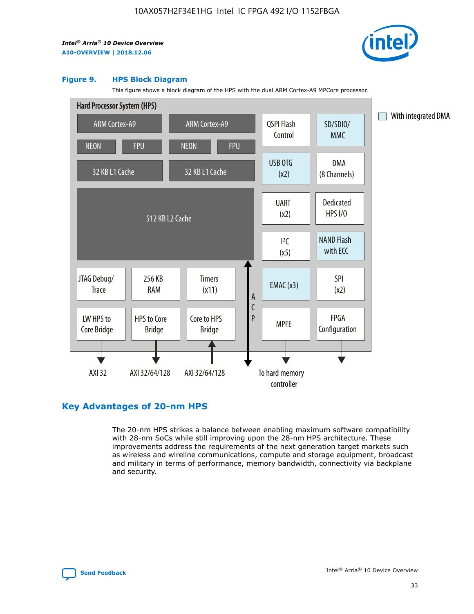

#### **Figure 9. HPS Block Diagram**

This figure shows a block diagram of the HPS with the dual ARM Cortex-A9 MPCore processor.



## **Key Advantages of 20-nm HPS**

The 20-nm HPS strikes a balance between enabling maximum software compatibility with 28-nm SoCs while still improving upon the 28-nm HPS architecture. These improvements address the requirements of the next generation target markets such as wireless and wireline communications, compute and storage equipment, broadcast and military in terms of performance, memory bandwidth, connectivity via backplane and security.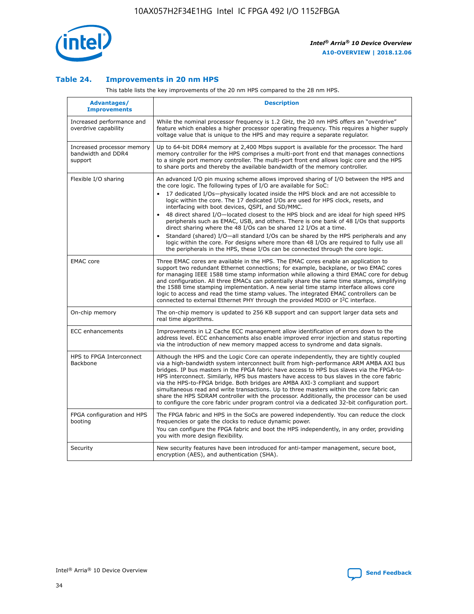

## **Table 24. Improvements in 20 nm HPS**

This table lists the key improvements of the 20 nm HPS compared to the 28 nm HPS.

| Advantages/<br><b>Improvements</b>                          | <b>Description</b>                                                                                                                                                                                                                                                                                                                                                                                                                                                                                                                                                                                                                                                                                                                                                                                                                                                                                                                                |
|-------------------------------------------------------------|---------------------------------------------------------------------------------------------------------------------------------------------------------------------------------------------------------------------------------------------------------------------------------------------------------------------------------------------------------------------------------------------------------------------------------------------------------------------------------------------------------------------------------------------------------------------------------------------------------------------------------------------------------------------------------------------------------------------------------------------------------------------------------------------------------------------------------------------------------------------------------------------------------------------------------------------------|
| Increased performance and<br>overdrive capability           | While the nominal processor frequency is 1.2 GHz, the 20 nm HPS offers an "overdrive"<br>feature which enables a higher processor operating frequency. This requires a higher supply<br>voltage value that is unique to the HPS and may require a separate regulator.                                                                                                                                                                                                                                                                                                                                                                                                                                                                                                                                                                                                                                                                             |
| Increased processor memory<br>bandwidth and DDR4<br>support | Up to 64-bit DDR4 memory at 2,400 Mbps support is available for the processor. The hard<br>memory controller for the HPS comprises a multi-port front end that manages connections<br>to a single port memory controller. The multi-port front end allows logic core and the HPS<br>to share ports and thereby the available bandwidth of the memory controller.                                                                                                                                                                                                                                                                                                                                                                                                                                                                                                                                                                                  |
| Flexible I/O sharing                                        | An advanced I/O pin muxing scheme allows improved sharing of I/O between the HPS and<br>the core logic. The following types of I/O are available for SoC:<br>$\bullet$<br>17 dedicated I/Os-physically located inside the HPS block and are not accessible to<br>logic within the core. The 17 dedicated I/Os are used for HPS clock, resets, and<br>interfacing with boot devices, QSPI, and SD/MMC.<br>48 direct shared I/O-located closest to the HPS block and are ideal for high speed HPS<br>$\bullet$<br>peripherals such as EMAC, USB, and others. There is one bank of 48 I/Os that supports<br>direct sharing where the 48 I/Os can be shared 12 I/Os at a time.<br>Standard (shared) I/O-all standard I/Os can be shared by the HPS peripherals and any<br>logic within the core. For designs where more than 48 I/Os are required to fully use all<br>the peripherals in the HPS, these I/Os can be connected through the core logic. |
| <b>EMAC</b> core                                            | Three EMAC cores are available in the HPS. The EMAC cores enable an application to<br>support two redundant Ethernet connections; for example, backplane, or two EMAC cores<br>for managing IEEE 1588 time stamp information while allowing a third EMAC core for debug<br>and configuration. All three EMACs can potentially share the same time stamps, simplifying<br>the 1588 time stamping implementation. A new serial time stamp interface allows core<br>logic to access and read the time stamp values. The integrated EMAC controllers can be<br>connected to external Ethernet PHY through the provided MDIO or I <sup>2</sup> C interface.                                                                                                                                                                                                                                                                                            |
| On-chip memory                                              | The on-chip memory is updated to 256 KB support and can support larger data sets and<br>real time algorithms.                                                                                                                                                                                                                                                                                                                                                                                                                                                                                                                                                                                                                                                                                                                                                                                                                                     |
| <b>ECC</b> enhancements                                     | Improvements in L2 Cache ECC management allow identification of errors down to the<br>address level. ECC enhancements also enable improved error injection and status reporting<br>via the introduction of new memory mapped access to syndrome and data signals.                                                                                                                                                                                                                                                                                                                                                                                                                                                                                                                                                                                                                                                                                 |
| HPS to FPGA Interconnect<br>Backbone                        | Although the HPS and the Logic Core can operate independently, they are tightly coupled<br>via a high-bandwidth system interconnect built from high-performance ARM AMBA AXI bus<br>bridges. IP bus masters in the FPGA fabric have access to HPS bus slaves via the FPGA-to-<br>HPS interconnect. Similarly, HPS bus masters have access to bus slaves in the core fabric<br>via the HPS-to-FPGA bridge. Both bridges are AMBA AXI-3 compliant and support<br>simultaneous read and write transactions. Up to three masters within the core fabric can<br>share the HPS SDRAM controller with the processor. Additionally, the processor can be used<br>to configure the core fabric under program control via a dedicated 32-bit configuration port.                                                                                                                                                                                            |
| FPGA configuration and HPS<br>booting                       | The FPGA fabric and HPS in the SoCs are powered independently. You can reduce the clock<br>frequencies or gate the clocks to reduce dynamic power.<br>You can configure the FPGA fabric and boot the HPS independently, in any order, providing<br>you with more design flexibility.                                                                                                                                                                                                                                                                                                                                                                                                                                                                                                                                                                                                                                                              |
| Security                                                    | New security features have been introduced for anti-tamper management, secure boot,<br>encryption (AES), and authentication (SHA).                                                                                                                                                                                                                                                                                                                                                                                                                                                                                                                                                                                                                                                                                                                                                                                                                |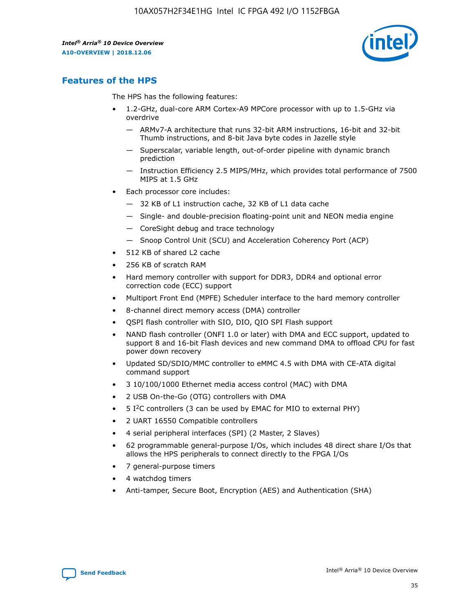

## **Features of the HPS**

The HPS has the following features:

- 1.2-GHz, dual-core ARM Cortex-A9 MPCore processor with up to 1.5-GHz via overdrive
	- ARMv7-A architecture that runs 32-bit ARM instructions, 16-bit and 32-bit Thumb instructions, and 8-bit Java byte codes in Jazelle style
	- Superscalar, variable length, out-of-order pipeline with dynamic branch prediction
	- Instruction Efficiency 2.5 MIPS/MHz, which provides total performance of 7500 MIPS at 1.5 GHz
- Each processor core includes:
	- 32 KB of L1 instruction cache, 32 KB of L1 data cache
	- Single- and double-precision floating-point unit and NEON media engine
	- CoreSight debug and trace technology
	- Snoop Control Unit (SCU) and Acceleration Coherency Port (ACP)
- 512 KB of shared L2 cache
- 256 KB of scratch RAM
- Hard memory controller with support for DDR3, DDR4 and optional error correction code (ECC) support
- Multiport Front End (MPFE) Scheduler interface to the hard memory controller
- 8-channel direct memory access (DMA) controller
- QSPI flash controller with SIO, DIO, QIO SPI Flash support
- NAND flash controller (ONFI 1.0 or later) with DMA and ECC support, updated to support 8 and 16-bit Flash devices and new command DMA to offload CPU for fast power down recovery
- Updated SD/SDIO/MMC controller to eMMC 4.5 with DMA with CE-ATA digital command support
- 3 10/100/1000 Ethernet media access control (MAC) with DMA
- 2 USB On-the-Go (OTG) controllers with DMA
- $\bullet$  5 I<sup>2</sup>C controllers (3 can be used by EMAC for MIO to external PHY)
- 2 UART 16550 Compatible controllers
- 4 serial peripheral interfaces (SPI) (2 Master, 2 Slaves)
- 62 programmable general-purpose I/Os, which includes 48 direct share I/Os that allows the HPS peripherals to connect directly to the FPGA I/Os
- 7 general-purpose timers
- 4 watchdog timers
- Anti-tamper, Secure Boot, Encryption (AES) and Authentication (SHA)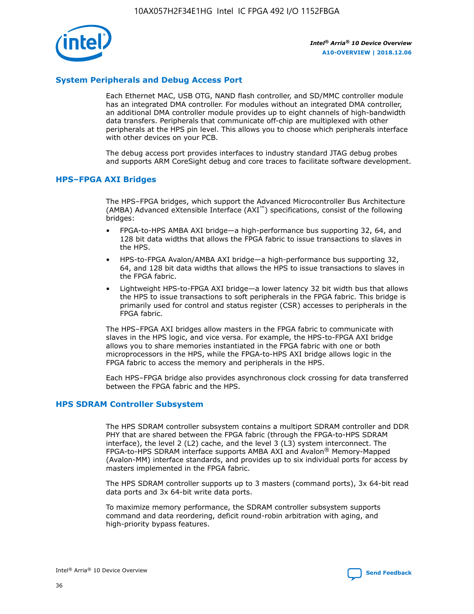

## **System Peripherals and Debug Access Port**

Each Ethernet MAC, USB OTG, NAND flash controller, and SD/MMC controller module has an integrated DMA controller. For modules without an integrated DMA controller, an additional DMA controller module provides up to eight channels of high-bandwidth data transfers. Peripherals that communicate off-chip are multiplexed with other peripherals at the HPS pin level. This allows you to choose which peripherals interface with other devices on your PCB.

The debug access port provides interfaces to industry standard JTAG debug probes and supports ARM CoreSight debug and core traces to facilitate software development.

#### **HPS–FPGA AXI Bridges**

The HPS–FPGA bridges, which support the Advanced Microcontroller Bus Architecture (AMBA) Advanced eXtensible Interface (AXI™) specifications, consist of the following bridges:

- FPGA-to-HPS AMBA AXI bridge—a high-performance bus supporting 32, 64, and 128 bit data widths that allows the FPGA fabric to issue transactions to slaves in the HPS.
- HPS-to-FPGA Avalon/AMBA AXI bridge—a high-performance bus supporting 32, 64, and 128 bit data widths that allows the HPS to issue transactions to slaves in the FPGA fabric.
- Lightweight HPS-to-FPGA AXI bridge—a lower latency 32 bit width bus that allows the HPS to issue transactions to soft peripherals in the FPGA fabric. This bridge is primarily used for control and status register (CSR) accesses to peripherals in the FPGA fabric.

The HPS–FPGA AXI bridges allow masters in the FPGA fabric to communicate with slaves in the HPS logic, and vice versa. For example, the HPS-to-FPGA AXI bridge allows you to share memories instantiated in the FPGA fabric with one or both microprocessors in the HPS, while the FPGA-to-HPS AXI bridge allows logic in the FPGA fabric to access the memory and peripherals in the HPS.

Each HPS–FPGA bridge also provides asynchronous clock crossing for data transferred between the FPGA fabric and the HPS.

#### **HPS SDRAM Controller Subsystem**

The HPS SDRAM controller subsystem contains a multiport SDRAM controller and DDR PHY that are shared between the FPGA fabric (through the FPGA-to-HPS SDRAM interface), the level 2 (L2) cache, and the level 3 (L3) system interconnect. The FPGA-to-HPS SDRAM interface supports AMBA AXI and Avalon® Memory-Mapped (Avalon-MM) interface standards, and provides up to six individual ports for access by masters implemented in the FPGA fabric.

The HPS SDRAM controller supports up to 3 masters (command ports), 3x 64-bit read data ports and 3x 64-bit write data ports.

To maximize memory performance, the SDRAM controller subsystem supports command and data reordering, deficit round-robin arbitration with aging, and high-priority bypass features.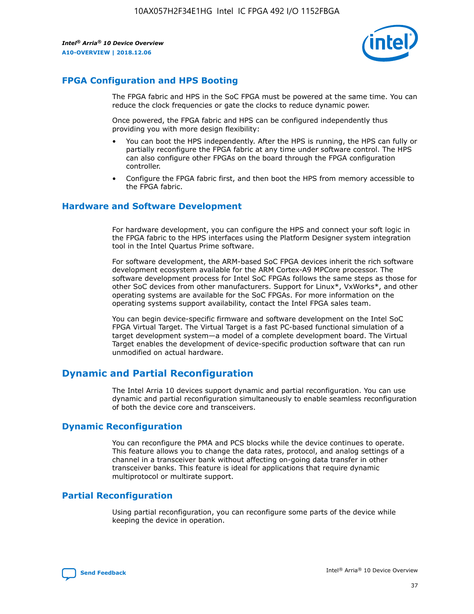

## **FPGA Configuration and HPS Booting**

The FPGA fabric and HPS in the SoC FPGA must be powered at the same time. You can reduce the clock frequencies or gate the clocks to reduce dynamic power.

Once powered, the FPGA fabric and HPS can be configured independently thus providing you with more design flexibility:

- You can boot the HPS independently. After the HPS is running, the HPS can fully or partially reconfigure the FPGA fabric at any time under software control. The HPS can also configure other FPGAs on the board through the FPGA configuration controller.
- Configure the FPGA fabric first, and then boot the HPS from memory accessible to the FPGA fabric.

## **Hardware and Software Development**

For hardware development, you can configure the HPS and connect your soft logic in the FPGA fabric to the HPS interfaces using the Platform Designer system integration tool in the Intel Quartus Prime software.

For software development, the ARM-based SoC FPGA devices inherit the rich software development ecosystem available for the ARM Cortex-A9 MPCore processor. The software development process for Intel SoC FPGAs follows the same steps as those for other SoC devices from other manufacturers. Support for Linux\*, VxWorks\*, and other operating systems are available for the SoC FPGAs. For more information on the operating systems support availability, contact the Intel FPGA sales team.

You can begin device-specific firmware and software development on the Intel SoC FPGA Virtual Target. The Virtual Target is a fast PC-based functional simulation of a target development system—a model of a complete development board. The Virtual Target enables the development of device-specific production software that can run unmodified on actual hardware.

## **Dynamic and Partial Reconfiguration**

The Intel Arria 10 devices support dynamic and partial reconfiguration. You can use dynamic and partial reconfiguration simultaneously to enable seamless reconfiguration of both the device core and transceivers.

## **Dynamic Reconfiguration**

You can reconfigure the PMA and PCS blocks while the device continues to operate. This feature allows you to change the data rates, protocol, and analog settings of a channel in a transceiver bank without affecting on-going data transfer in other transceiver banks. This feature is ideal for applications that require dynamic multiprotocol or multirate support.

## **Partial Reconfiguration**

Using partial reconfiguration, you can reconfigure some parts of the device while keeping the device in operation.

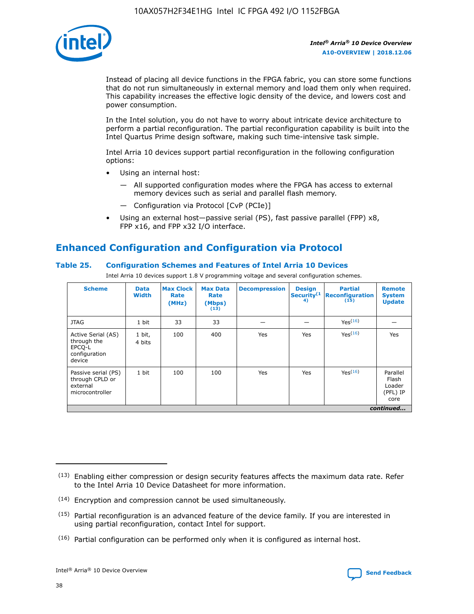

Instead of placing all device functions in the FPGA fabric, you can store some functions that do not run simultaneously in external memory and load them only when required. This capability increases the effective logic density of the device, and lowers cost and power consumption.

In the Intel solution, you do not have to worry about intricate device architecture to perform a partial reconfiguration. The partial reconfiguration capability is built into the Intel Quartus Prime design software, making such time-intensive task simple.

Intel Arria 10 devices support partial reconfiguration in the following configuration options:

- Using an internal host:
	- All supported configuration modes where the FPGA has access to external memory devices such as serial and parallel flash memory.
	- Configuration via Protocol [CvP (PCIe)]
- Using an external host—passive serial (PS), fast passive parallel (FPP) x8, FPP x16, and FPP x32 I/O interface.

# **Enhanced Configuration and Configuration via Protocol**

## **Table 25. Configuration Schemes and Features of Intel Arria 10 Devices**

Intel Arria 10 devices support 1.8 V programming voltage and several configuration schemes.

| <b>Scheme</b>                                                          | <b>Data</b><br><b>Width</b> | <b>Max Clock</b><br>Rate<br>(MHz) | <b>Max Data</b><br>Rate<br>(Mbps)<br>(13) | <b>Decompression</b> | <b>Design</b><br>Security <sup>(1</sup><br>4) | <b>Partial</b><br><b>Reconfiguration</b><br>(15) | <b>Remote</b><br><b>System</b><br><b>Update</b> |
|------------------------------------------------------------------------|-----------------------------|-----------------------------------|-------------------------------------------|----------------------|-----------------------------------------------|--------------------------------------------------|-------------------------------------------------|
| <b>JTAG</b>                                                            | 1 bit                       | 33                                | 33                                        |                      |                                               | Yes(16)                                          |                                                 |
| Active Serial (AS)<br>through the<br>EPCO-L<br>configuration<br>device | 1 bit,<br>4 bits            | 100                               | 400                                       | Yes                  | Yes                                           | $Y_{PS}(16)$                                     | Yes                                             |
| Passive serial (PS)<br>through CPLD or<br>external<br>microcontroller  | 1 bit                       | 100                               | 100                                       | Yes                  | Yes                                           | Yes(16)                                          | Parallel<br>Flash<br>Loader<br>(PFL) IP<br>core |
|                                                                        |                             |                                   |                                           |                      |                                               |                                                  | continued                                       |

<sup>(13)</sup> Enabling either compression or design security features affects the maximum data rate. Refer to the Intel Arria 10 Device Datasheet for more information.

<sup>(14)</sup> Encryption and compression cannot be used simultaneously.

 $(15)$  Partial reconfiguration is an advanced feature of the device family. If you are interested in using partial reconfiguration, contact Intel for support.

 $(16)$  Partial configuration can be performed only when it is configured as internal host.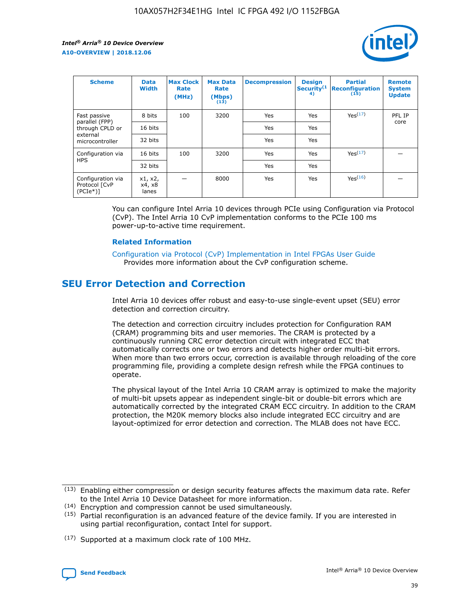

| <b>Scheme</b>                                   | <b>Data</b><br><b>Width</b> | <b>Max Clock</b><br>Rate<br>(MHz) | <b>Max Data</b><br>Rate<br>(Mbps)<br>(13) | <b>Decompression</b> | <b>Design</b><br>Security <sup>(1</sup><br>4) | <b>Partial</b><br><b>Reconfiguration</b><br>(15) | <b>Remote</b><br><b>System</b><br><b>Update</b> |
|-------------------------------------------------|-----------------------------|-----------------------------------|-------------------------------------------|----------------------|-----------------------------------------------|--------------------------------------------------|-------------------------------------------------|
| Fast passive                                    | 8 bits                      | 100                               | 3200                                      | Yes                  | Yes                                           | Yes(17)                                          | PFL IP                                          |
| parallel (FPP)<br>through CPLD or               | 16 bits                     |                                   |                                           | Yes                  | Yes                                           |                                                  | core                                            |
| external<br>microcontroller                     | 32 bits                     |                                   |                                           | Yes                  | Yes                                           |                                                  |                                                 |
| Configuration via                               | 16 bits                     | 100                               | 3200                                      | Yes                  | Yes                                           | Yes <sup>(17)</sup>                              |                                                 |
| <b>HPS</b>                                      | 32 bits                     |                                   |                                           | Yes                  | Yes                                           |                                                  |                                                 |
| Configuration via<br>Protocol [CvP<br>$(PCIe*)$ | x1, x2,<br>x4, x8<br>lanes  |                                   | 8000                                      | Yes                  | Yes                                           | Yes(16)                                          |                                                 |

You can configure Intel Arria 10 devices through PCIe using Configuration via Protocol (CvP). The Intel Arria 10 CvP implementation conforms to the PCIe 100 ms power-up-to-active time requirement.

#### **Related Information**

[Configuration via Protocol \(CvP\) Implementation in Intel FPGAs User Guide](https://www.intel.com/content/www/us/en/programmable/documentation/dsu1441819344145.html#dsu1442269728522) Provides more information about the CvP configuration scheme.

## **SEU Error Detection and Correction**

Intel Arria 10 devices offer robust and easy-to-use single-event upset (SEU) error detection and correction circuitry.

The detection and correction circuitry includes protection for Configuration RAM (CRAM) programming bits and user memories. The CRAM is protected by a continuously running CRC error detection circuit with integrated ECC that automatically corrects one or two errors and detects higher order multi-bit errors. When more than two errors occur, correction is available through reloading of the core programming file, providing a complete design refresh while the FPGA continues to operate.

The physical layout of the Intel Arria 10 CRAM array is optimized to make the majority of multi-bit upsets appear as independent single-bit or double-bit errors which are automatically corrected by the integrated CRAM ECC circuitry. In addition to the CRAM protection, the M20K memory blocks also include integrated ECC circuitry and are layout-optimized for error detection and correction. The MLAB does not have ECC.

(14) Encryption and compression cannot be used simultaneously.

<sup>(17)</sup> Supported at a maximum clock rate of 100 MHz.



 $(13)$  Enabling either compression or design security features affects the maximum data rate. Refer to the Intel Arria 10 Device Datasheet for more information.

 $(15)$  Partial reconfiguration is an advanced feature of the device family. If you are interested in using partial reconfiguration, contact Intel for support.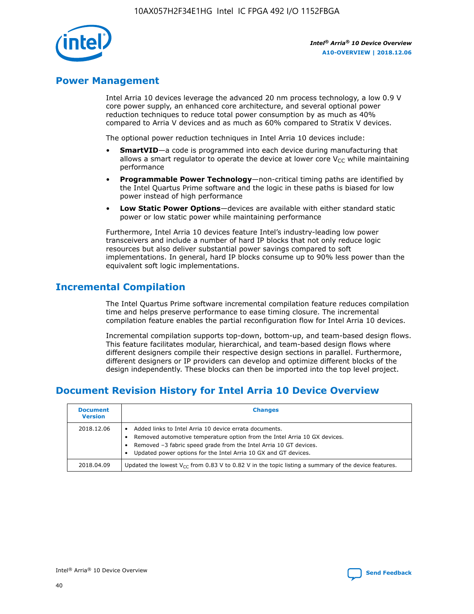

## **Power Management**

Intel Arria 10 devices leverage the advanced 20 nm process technology, a low 0.9 V core power supply, an enhanced core architecture, and several optional power reduction techniques to reduce total power consumption by as much as 40% compared to Arria V devices and as much as 60% compared to Stratix V devices.

The optional power reduction techniques in Intel Arria 10 devices include:

- **SmartVID**—a code is programmed into each device during manufacturing that allows a smart regulator to operate the device at lower core  $V_{CC}$  while maintaining performance
- **Programmable Power Technology**—non-critical timing paths are identified by the Intel Quartus Prime software and the logic in these paths is biased for low power instead of high performance
- **Low Static Power Options**—devices are available with either standard static power or low static power while maintaining performance

Furthermore, Intel Arria 10 devices feature Intel's industry-leading low power transceivers and include a number of hard IP blocks that not only reduce logic resources but also deliver substantial power savings compared to soft implementations. In general, hard IP blocks consume up to 90% less power than the equivalent soft logic implementations.

## **Incremental Compilation**

The Intel Quartus Prime software incremental compilation feature reduces compilation time and helps preserve performance to ease timing closure. The incremental compilation feature enables the partial reconfiguration flow for Intel Arria 10 devices.

Incremental compilation supports top-down, bottom-up, and team-based design flows. This feature facilitates modular, hierarchical, and team-based design flows where different designers compile their respective design sections in parallel. Furthermore, different designers or IP providers can develop and optimize different blocks of the design independently. These blocks can then be imported into the top level project.

# **Document Revision History for Intel Arria 10 Device Overview**

| <b>Document</b><br><b>Version</b> | <b>Changes</b>                                                                                                                                                                                                                                                              |
|-----------------------------------|-----------------------------------------------------------------------------------------------------------------------------------------------------------------------------------------------------------------------------------------------------------------------------|
| 2018.12.06                        | Added links to Intel Arria 10 device errata documents.<br>Removed automotive temperature option from the Intel Arria 10 GX devices.<br>Removed -3 fabric speed grade from the Intel Arria 10 GT devices.<br>Updated power options for the Intel Arria 10 GX and GT devices. |
| 2018.04.09                        | Updated the lowest $V_{CC}$ from 0.83 V to 0.82 V in the topic listing a summary of the device features.                                                                                                                                                                    |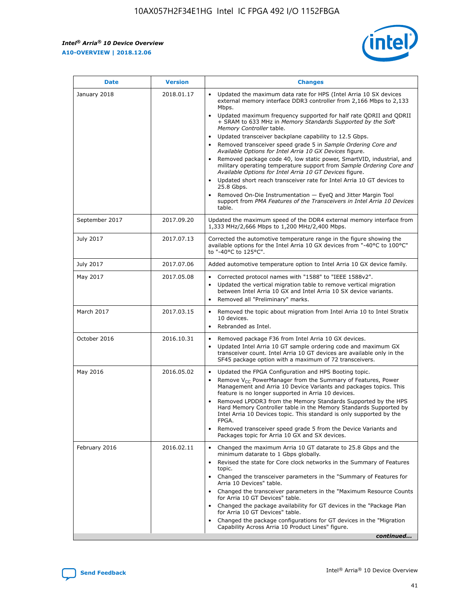*Intel® Arria® 10 Device Overview* **A10-OVERVIEW | 2018.12.06**



| <b>Date</b>    | <b>Version</b> | <b>Changes</b>                                                                                                                                                                                                                                                                                                                                                                                                                                                                                                                                                                                                                                                                                                                                                                                                                                                                                                                                                            |
|----------------|----------------|---------------------------------------------------------------------------------------------------------------------------------------------------------------------------------------------------------------------------------------------------------------------------------------------------------------------------------------------------------------------------------------------------------------------------------------------------------------------------------------------------------------------------------------------------------------------------------------------------------------------------------------------------------------------------------------------------------------------------------------------------------------------------------------------------------------------------------------------------------------------------------------------------------------------------------------------------------------------------|
| January 2018   | 2018.01.17     | Updated the maximum data rate for HPS (Intel Arria 10 SX devices<br>external memory interface DDR3 controller from 2,166 Mbps to 2,133<br>Mbps.<br>Updated maximum frequency supported for half rate QDRII and QDRII<br>+ SRAM to 633 MHz in Memory Standards Supported by the Soft<br>Memory Controller table.<br>Updated transceiver backplane capability to 12.5 Gbps.<br>$\bullet$<br>Removed transceiver speed grade 5 in Sample Ordering Core and<br>Available Options for Intel Arria 10 GX Devices figure.<br>Removed package code 40, low static power, SmartVID, industrial, and<br>military operating temperature support from Sample Ordering Core and<br>Available Options for Intel Arria 10 GT Devices figure.<br>Updated short reach transceiver rate for Intel Arria 10 GT devices to<br>25.8 Gbps.<br>Removed On-Die Instrumentation - EyeQ and Jitter Margin Tool<br>support from PMA Features of the Transceivers in Intel Arria 10 Devices<br>table. |
| September 2017 | 2017.09.20     | Updated the maximum speed of the DDR4 external memory interface from<br>1,333 MHz/2,666 Mbps to 1,200 MHz/2,400 Mbps.                                                                                                                                                                                                                                                                                                                                                                                                                                                                                                                                                                                                                                                                                                                                                                                                                                                     |
| July 2017      | 2017.07.13     | Corrected the automotive temperature range in the figure showing the<br>available options for the Intel Arria 10 GX devices from "-40°C to 100°C"<br>to "-40°C to 125°C".                                                                                                                                                                                                                                                                                                                                                                                                                                                                                                                                                                                                                                                                                                                                                                                                 |
| July 2017      | 2017.07.06     | Added automotive temperature option to Intel Arria 10 GX device family.                                                                                                                                                                                                                                                                                                                                                                                                                                                                                                                                                                                                                                                                                                                                                                                                                                                                                                   |
| May 2017       | 2017.05.08     | Corrected protocol names with "1588" to "IEEE 1588v2".<br>$\bullet$<br>Updated the vertical migration table to remove vertical migration<br>$\bullet$<br>between Intel Arria 10 GX and Intel Arria 10 SX device variants.<br>Removed all "Preliminary" marks.<br>$\bullet$                                                                                                                                                                                                                                                                                                                                                                                                                                                                                                                                                                                                                                                                                                |
| March 2017     | 2017.03.15     | Removed the topic about migration from Intel Arria 10 to Intel Stratix<br>10 devices.<br>Rebranded as Intel.<br>$\bullet$                                                                                                                                                                                                                                                                                                                                                                                                                                                                                                                                                                                                                                                                                                                                                                                                                                                 |
| October 2016   | 2016.10.31     | Removed package F36 from Intel Arria 10 GX devices.<br>Updated Intel Arria 10 GT sample ordering code and maximum GX<br>$\bullet$<br>transceiver count. Intel Arria 10 GT devices are available only in the<br>SF45 package option with a maximum of 72 transceivers.                                                                                                                                                                                                                                                                                                                                                                                                                                                                                                                                                                                                                                                                                                     |
| May 2016       | 2016.05.02     | Updated the FPGA Configuration and HPS Booting topic.<br>$\bullet$<br>Remove V <sub>CC</sub> PowerManager from the Summary of Features, Power<br>Management and Arria 10 Device Variants and packages topics. This<br>feature is no longer supported in Arria 10 devices.<br>Removed LPDDR3 from the Memory Standards Supported by the HPS<br>Hard Memory Controller table in the Memory Standards Supported by<br>Intel Arria 10 Devices topic. This standard is only supported by the<br>FPGA.<br>Removed transceiver speed grade 5 from the Device Variants and<br>Packages topic for Arria 10 GX and SX devices.                                                                                                                                                                                                                                                                                                                                                      |
| February 2016  | 2016.02.11     | Changed the maximum Arria 10 GT datarate to 25.8 Gbps and the<br>minimum datarate to 1 Gbps globally.<br>Revised the state for Core clock networks in the Summary of Features<br>$\bullet$<br>topic.<br>Changed the transceiver parameters in the "Summary of Features for<br>$\bullet$<br>Arria 10 Devices" table.<br>• Changed the transceiver parameters in the "Maximum Resource Counts<br>for Arria 10 GT Devices" table.<br>Changed the package availability for GT devices in the "Package Plan<br>for Arria 10 GT Devices" table.<br>Changed the package configurations for GT devices in the "Migration"<br>Capability Across Arria 10 Product Lines" figure.<br>continued                                                                                                                                                                                                                                                                                       |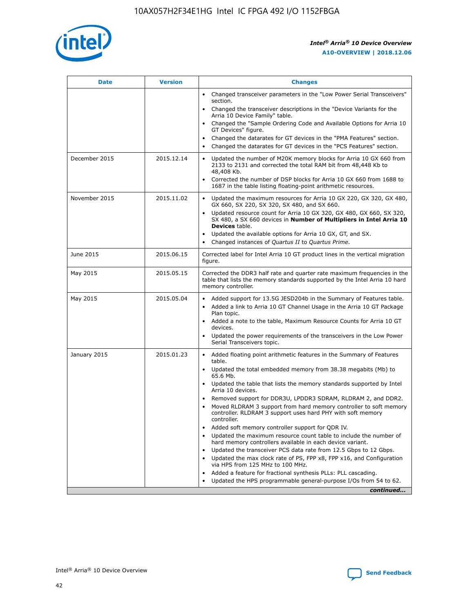

| <b>Date</b>   | <b>Version</b> | <b>Changes</b>                                                                                                                                                               |
|---------------|----------------|------------------------------------------------------------------------------------------------------------------------------------------------------------------------------|
|               |                | • Changed transceiver parameters in the "Low Power Serial Transceivers"<br>section.                                                                                          |
|               |                | • Changed the transceiver descriptions in the "Device Variants for the<br>Arria 10 Device Family" table.                                                                     |
|               |                | Changed the "Sample Ordering Code and Available Options for Arria 10<br>$\bullet$<br>GT Devices" figure.                                                                     |
|               |                | Changed the datarates for GT devices in the "PMA Features" section.                                                                                                          |
|               |                | Changed the datarates for GT devices in the "PCS Features" section.<br>$\bullet$                                                                                             |
| December 2015 | 2015.12.14     | Updated the number of M20K memory blocks for Arria 10 GX 660 from<br>2133 to 2131 and corrected the total RAM bit from 48,448 Kb to<br>48,408 Kb.                            |
|               |                | Corrected the number of DSP blocks for Arria 10 GX 660 from 1688 to<br>1687 in the table listing floating-point arithmetic resources.                                        |
| November 2015 | 2015.11.02     | Updated the maximum resources for Arria 10 GX 220, GX 320, GX 480,<br>$\bullet$<br>GX 660, SX 220, SX 320, SX 480, and SX 660.                                               |
|               |                | • Updated resource count for Arria 10 GX 320, GX 480, GX 660, SX 320,<br>SX 480, a SX 660 devices in Number of Multipliers in Intel Arria 10<br><b>Devices</b> table.        |
|               |                | Updated the available options for Arria 10 GX, GT, and SX.                                                                                                                   |
|               |                | Changed instances of Quartus II to Quartus Prime.<br>$\bullet$                                                                                                               |
| June 2015     | 2015.06.15     | Corrected label for Intel Arria 10 GT product lines in the vertical migration<br>figure.                                                                                     |
| May 2015      | 2015.05.15     | Corrected the DDR3 half rate and quarter rate maximum frequencies in the<br>table that lists the memory standards supported by the Intel Arria 10 hard<br>memory controller. |
| May 2015      | 2015.05.04     | • Added support for 13.5G JESD204b in the Summary of Features table.                                                                                                         |
|               |                | • Added a link to Arria 10 GT Channel Usage in the Arria 10 GT Package<br>Plan topic.                                                                                        |
|               |                | • Added a note to the table, Maximum Resource Counts for Arria 10 GT<br>devices.                                                                                             |
|               |                | • Updated the power requirements of the transceivers in the Low Power<br>Serial Transceivers topic.                                                                          |
| January 2015  | 2015.01.23     | • Added floating point arithmetic features in the Summary of Features<br>table.                                                                                              |
|               |                | • Updated the total embedded memory from 38.38 megabits (Mb) to<br>65.6 Mb.                                                                                                  |
|               |                | • Updated the table that lists the memory standards supported by Intel<br>Arria 10 devices.                                                                                  |
|               |                | Removed support for DDR3U, LPDDR3 SDRAM, RLDRAM 2, and DDR2.                                                                                                                 |
|               |                | Moved RLDRAM 3 support from hard memory controller to soft memory<br>controller. RLDRAM 3 support uses hard PHY with soft memory<br>controller.                              |
|               |                | Added soft memory controller support for QDR IV.<br>٠                                                                                                                        |
|               |                | Updated the maximum resource count table to include the number of<br>hard memory controllers available in each device variant.                                               |
|               |                | Updated the transceiver PCS data rate from 12.5 Gbps to 12 Gbps.<br>$\bullet$                                                                                                |
|               |                | Updated the max clock rate of PS, FPP x8, FPP x16, and Configuration<br>via HPS from 125 MHz to 100 MHz.                                                                     |
|               |                | Added a feature for fractional synthesis PLLs: PLL cascading.                                                                                                                |
|               |                | Updated the HPS programmable general-purpose I/Os from 54 to 62.<br>$\bullet$                                                                                                |
|               |                | continued                                                                                                                                                                    |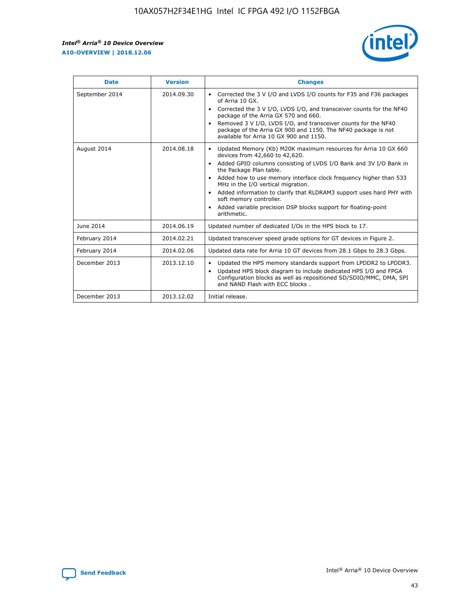r



| <b>Date</b>    | <b>Version</b> | <b>Changes</b>                                                                                                                                                                                                                                                                                                                                                                                                                                                                                                                         |
|----------------|----------------|----------------------------------------------------------------------------------------------------------------------------------------------------------------------------------------------------------------------------------------------------------------------------------------------------------------------------------------------------------------------------------------------------------------------------------------------------------------------------------------------------------------------------------------|
| September 2014 | 2014.09.30     | Corrected the 3 V I/O and LVDS I/O counts for F35 and F36 packages<br>of Arria 10 GX.<br>Corrected the 3 V I/O, LVDS I/O, and transceiver counts for the NF40<br>$\bullet$<br>package of the Arria GX 570 and 660.<br>Removed 3 V I/O, LVDS I/O, and transceiver counts for the NF40<br>package of the Arria GX 900 and 1150. The NF40 package is not<br>available for Arria 10 GX 900 and 1150.                                                                                                                                       |
| August 2014    | 2014.08.18     | Updated Memory (Kb) M20K maximum resources for Arria 10 GX 660<br>devices from 42,660 to 42,620.<br>Added GPIO columns consisting of LVDS I/O Bank and 3V I/O Bank in<br>$\bullet$<br>the Package Plan table.<br>Added how to use memory interface clock frequency higher than 533<br>$\bullet$<br>MHz in the I/O vertical migration.<br>Added information to clarify that RLDRAM3 support uses hard PHY with<br>$\bullet$<br>soft memory controller.<br>Added variable precision DSP blocks support for floating-point<br>arithmetic. |
| June 2014      | 2014.06.19     | Updated number of dedicated I/Os in the HPS block to 17.                                                                                                                                                                                                                                                                                                                                                                                                                                                                               |
| February 2014  | 2014.02.21     | Updated transceiver speed grade options for GT devices in Figure 2.                                                                                                                                                                                                                                                                                                                                                                                                                                                                    |
| February 2014  | 2014.02.06     | Updated data rate for Arria 10 GT devices from 28.1 Gbps to 28.3 Gbps.                                                                                                                                                                                                                                                                                                                                                                                                                                                                 |
| December 2013  | 2013.12.10     | Updated the HPS memory standards support from LPDDR2 to LPDDR3.<br>Updated HPS block diagram to include dedicated HPS I/O and FPGA<br>$\bullet$<br>Configuration blocks as well as repositioned SD/SDIO/MMC, DMA, SPI<br>and NAND Flash with ECC blocks.                                                                                                                                                                                                                                                                               |
| December 2013  | 2013.12.02     | Initial release.                                                                                                                                                                                                                                                                                                                                                                                                                                                                                                                       |